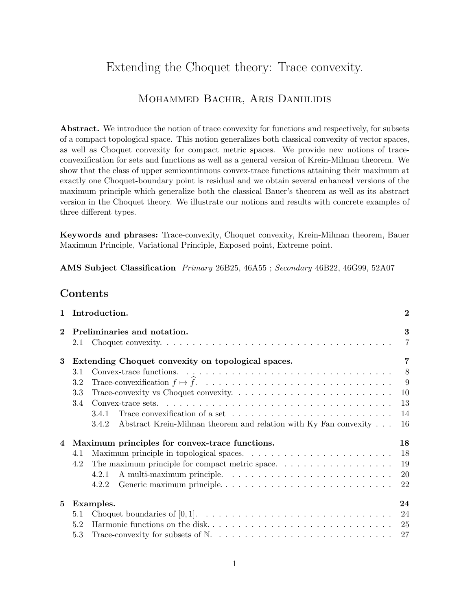## Extending the Choquet theory: Trace convexity.

## Mohammed Bachir, Aris Daniilidis

Abstract. We introduce the notion of trace convexity for functions and respectively, for subsets of a compact topological space. This notion generalizes both classical convexity of vector spaces, as well as Choquet convexity for compact metric spaces. We provide new notions of traceconvexification for sets and functions as well as a general version of Krein-Milman theorem. We show that the class of upper semicontinuous convex-trace functions attaining their maximum at exactly one Choquet-boundary point is residual and we obtain several enhanced versions of the maximum principle which generalize both the classical Bauer's theorem as well as its abstract version in the Choquet theory. We illustrate our notions and results with concrete examples of three different types.

Keywords and phrases: Trace-convexity, Choquet convexity, Krein-Milman theorem, Bauer Maximum Principle, Variational Principle, Exposed point, Extreme point.

AMS Subject Classification Primary 26B25, 46A55 ; Secondary 46B22, 46G99, 52A07

### Contents

| 1 | Introduction.                                                             | $\bf{2}$            |
|---|---------------------------------------------------------------------------|---------------------|
|   | Preliminaries and notation.<br>2.1                                        | 3<br>$\overline{7}$ |
| 3 | Extending Choquet convexity on topological spaces.                        | $\overline{7}$      |
|   | 3.1                                                                       | 8 <sup>8</sup>      |
|   | 3.2                                                                       | $\overline{9}$      |
|   | 3.3                                                                       | 10                  |
|   | 3.4                                                                       | 13                  |
|   | 3.4.1                                                                     | 14                  |
|   | Abstract Krein-Milman theorem and relation with Ky Fan convexity<br>3.4.2 | 16                  |
| 4 | Maximum principles for convex-trace functions.                            | 18                  |
|   | 4.1                                                                       | 18                  |
|   | 4.2                                                                       | 19                  |
|   | 4.2.1                                                                     | 20                  |
|   | 4.2.2                                                                     | 22                  |
| 5 | Examples.                                                                 | 24                  |
|   | 5.1                                                                       | 24                  |
|   | 5.2                                                                       | 25                  |
|   | 5.3                                                                       | 27                  |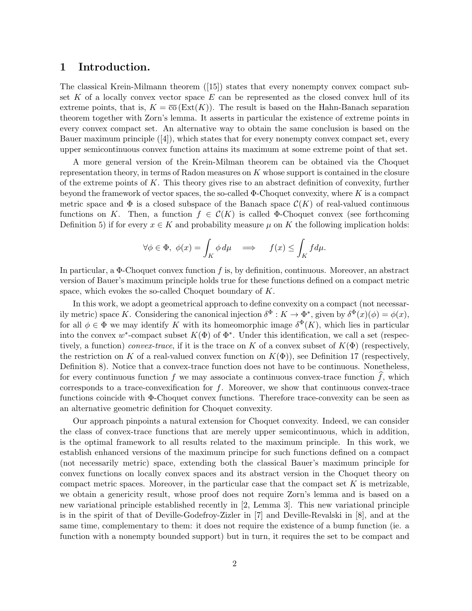### 1 Introduction.

The classical Krein-Milmann theorem ([15]) states that every nonempty convex compact subset K of a locally convex vector space  $E$  can be represented as the closed convex hull of its extreme points, that is,  $K = \overline{co}(\text{Ext}(K))$ . The result is based on the Hahn-Banach separation theorem together with Zorn's lemma. It asserts in particular the existence of extreme points in every convex compact set. An alternative way to obtain the same conclusion is based on the Bauer maximum principle ([4]), which states that for every nonempty convex compact set, every upper semicontinuous convex function attains its maximum at some extreme point of that set.

A more general version of the Krein-Milman theorem can be obtained via the Choquet representation theory, in terms of Radon measures on  $K$  whose support is contained in the closure of the extreme points of  $K$ . This theory gives rise to an abstract definition of convexity, further beyond the framework of vector spaces, the so-called  $\Phi$ -Choquet convexity, where K is a compact metric space and  $\Phi$  is a closed subspace of the Banach space  $\mathcal{C}(K)$  of real-valued continuous functions on K. Then, a function  $f \in \mathcal{C}(K)$  is called  $\Phi$ -Choquet convex (see forthcoming Definition 5) if for every  $x \in K$  and probability measure  $\mu$  on K the following implication holds:

$$
\forall \phi \in \Phi, \ \phi(x) = \int_K \phi \, d\mu \implies f(x) \le \int_K f d\mu.
$$

In particular, a  $\Phi$ -Choquet convex function f is, by definition, continuous. Moreover, an abstract version of Bauer's maximum principle holds true for these functions defined on a compact metric space, which evokes the so-called Choquet boundary of K.

In this work, we adopt a geometrical approach to define convexity on a compact (not necessarily metric) space K. Considering the canonical injection  $\delta^{\Phi}: K \to \Phi^*$ , given by  $\delta^{\Phi}(x)(\phi) = \phi(x)$ , for all  $\phi \in \Phi$  we may identify K with its homeomorphic image  $\delta^{\Phi}(K)$ , which lies in particular into the convex w<sup>\*</sup>-compact subset  $K(\Phi)$  of  $\Phi^*$ . Under this identification, we call a set (respectively, a function) convex-trace, if it is the trace on K of a convex subset of  $K(\Phi)$  (respectively, the restriction on K of a real-valued convex function on  $K(\Phi)$ ), see Definition 17 (respectively, Definition 8). Notice that a convex-trace function does not have to be continuous. Nonetheless, for every continuous function f we may associate a continuous convex-trace function f, which corresponds to a trace-convexification for  $f$ . Moreover, we show that continuous convex-trace functions coincide with Φ-Choquet convex functions. Therefore trace-convexity can be seen as an alternative geometric definition for Choquet convexity.

Our approach pinpoints a natural extension for Choquet convexity. Indeed, we can consider the class of convex-trace functions that are merely upper semicontinuous, which in addition, is the optimal framework to all results related to the maximum principle. In this work, we establish enhanced versions of the maximum principe for such functions defined on a compact (not necessarily metric) space, extending both the classical Bauer's maximum principle for convex functions on locally convex spaces and its abstract version in the Choquet theory on compact metric spaces. Moreover, in the particular case that the compact set  $K$  is metrizable, we obtain a genericity result, whose proof does not require Zorn's lemma and is based on a new variational principle established recently in [2, Lemma 3]. This new variational principle is in the spirit of that of Deville-Godefroy-Zizler in [7] and Deville-Revalski in [8], and at the same time, complementary to them: it does not require the existence of a bump function (ie. a function with a nonempty bounded support) but in turn, it requires the set to be compact and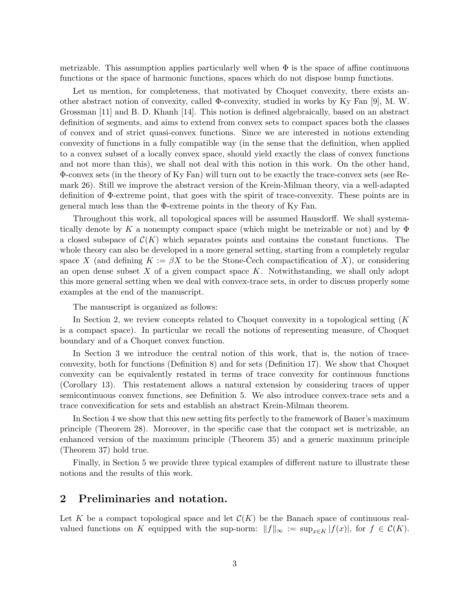metrizable. This assumption applies particularly well when  $\Phi$  is the space of affine continuous functions or the space of harmonic functions, spaces which do not dispose bump functions.

Let us mention, for completeness, that motivated by Choquet convexity, there exists another abstract notion of convexity, called Φ-convexity, studied in works by Ky Fan [9], M. W. Grossman [11] and B. D. Khanh [14]. This notion is defined algebraically, based on an abstract definition of segments, and aims to extend from convex sets to compact spaces both the classes of convex and of strict quasi-convex functions. Since we are interested in notions extending convexity of functions in a fully compatible way (in the sense that the definition, when applied to a convex subset of a locally convex space, should yield exactly the class of convex functions and not more than this), we shall not deal with this notion in this work. On the other hand, Φ-convex sets (in the theory of Ky Fan) will turn out to be exactly the trace-convex sets (see Remark 26). Still we improve the abstract version of the Krein-Milman theory, via a well-adapted definition of Φ-extreme point, that goes with the spirit of trace-convexity. These points are in general much less than the Φ-extreme points in the theory of Ky Fan.

Throughout this work, all topological spaces will be assumed Hausdorff. We shall systematically denote by K a nonempty compact space (which might be metrizable or not) and by  $\Phi$ a closed subspace of  $\mathcal{C}(K)$  which separates points and contains the constant functions. The whole theory can also be developed in a more general setting, starting from a completely regular space X (and defining  $K := \beta X$  to be the Stone-Cech compactification of X), or considering an open dense subset  $X$  of a given compact space  $K$ . Notwithstanding, we shall only adopt this more general setting when we deal with convex-trace sets, in order to discuss properly some examples at the end of the manuscript.

The manuscript is organized as follows:

In Section 2, we review concepts related to Choquet convexity in a topological setting (K) is a compact space). In particular we recall the notions of representing measure, of Choquet boundary and of a Choquet convex function.

In Section 3 we introduce the central notion of this work, that is, the notion of traceconvexity, both for functions (Definition 8) and for sets (Definition 17). We show that Choquet convexity can be equivalently restated in terms of trace convexity for continuous functions (Corollary 13). This restatement allows a natural extension by considering traces of upper semicontinuous convex functions, see Definition 5. We also introduce convex-trace sets and a trace convexification for sets and establish an abstract Krein-Milman theorem.

In Section 4 we show that this new setting fits perfectly to the framework of Bauer's maximum principle (Theorem 28). Moreover, in the specific case that the compact set is metrizable, an enhanced version of the maximum principle (Theorem 35) and a generic maximum principle (Theorem 37) hold true.

Finally, in Section 5 we provide three typical examples of different nature to illustrate these notions and the results of this work.

### 2 Preliminaries and notation.

Let K be a compact topological space and let  $\mathcal{C}(K)$  be the Banach space of continuous realvalued functions on K equipped with the sup-norm:  $||f||_{\infty} := \sup_{x \in K} |f(x)|$ , for  $f \in \mathcal{C}(K)$ .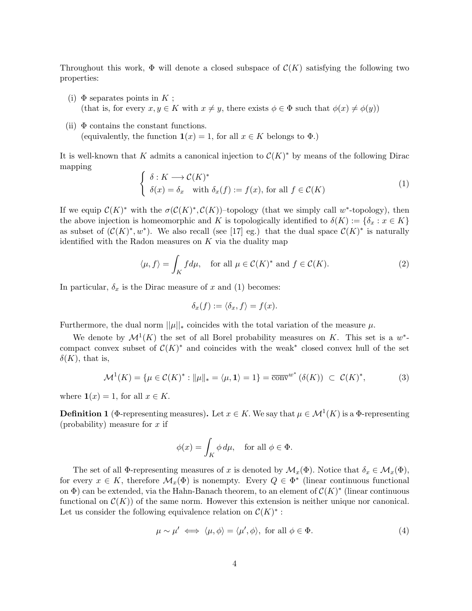Throughout this work,  $\Phi$  will denote a closed subspace of  $\mathcal{C}(K)$  satisfying the following two properties:

- (i)  $\Phi$  separates points in K; (that is, for every  $x, y \in K$  with  $x \neq y$ , there exists  $\phi \in \Phi$  such that  $\phi(x) \neq \phi(y)$ )
- (ii)  $\Phi$  contains the constant functions. (equivalently, the function  $\mathbf{1}(x) = 1$ , for all  $x \in K$  belongs to  $\Phi$ .)

It is well-known that K admits a canonical injection to  $\mathcal{C}(K)^*$  by means of the following Dirac mapping

$$
\begin{cases} \delta: K \longrightarrow \mathcal{C}(K)^* \\ \delta(x) = \delta_x \quad \text{with } \delta_x(f) := f(x), \text{ for all } f \in \mathcal{C}(K) \end{cases}
$$
 (1)

If we equip  $\mathcal{C}(K)^*$  with the  $\sigma(\mathcal{C}(K)^*, \mathcal{C}(K))$ -topology (that we simply call w<sup>\*</sup>-topology), then the above injection is homeomorphic and K is topologically identified to  $\delta(K) := \{\delta_x : x \in K\}$ as subset of  $(\mathcal{C}(K)^*, w^*)$ . We also recall (see [17] eg.) that the dual space  $\mathcal{C}(K)^*$  is naturally identified with the Radon measures on  $K$  via the duality map

$$
\langle \mu, f \rangle = \int_K f d\mu, \quad \text{for all } \mu \in \mathcal{C}(K)^* \text{ and } f \in \mathcal{C}(K). \tag{2}
$$

In particular,  $\delta_x$  is the Dirac measure of x and (1) becomes:

$$
\delta_x(f) := \langle \delta_x, f \rangle = f(x).
$$

Furthermore, the dual norm  $||\mu||_*$  coincides with the total variation of the measure  $\mu$ .

We denote by  $\mathcal{M}^1(K)$  the set of all Borel probability measures on K. This set is a  $w^*$ compact convex subset of  $\mathcal{C}(K)^*$  and coincides with the weak<sup>\*</sup> closed convex hull of the set  $\delta(K)$ , that is,

$$
\mathcal{M}^1(K) = \{ \mu \in \mathcal{C}(K)^* : ||\mu||_* = \langle \mu, \mathbf{1} \rangle = 1 \} = \overline{\text{conv}}^{w^*} (\delta(K)) \subset \mathcal{C}(K)^*,
$$
 (3)

where  $\mathbf{1}(x) = 1$ , for all  $x \in K$ .

**Definition 1** ( $\Phi$ -representing measures). Let  $x \in K$ . We say that  $\mu \in M^1(K)$  is a  $\Phi$ -representing (probability) measure for  $x$  if

$$
\phi(x) = \int_K \phi \, d\mu, \quad \text{for all } \phi \in \Phi.
$$

The set of all Φ-representing measures of x is denoted by  $\mathcal{M}_x(\Phi)$ . Notice that  $\delta_x \in \mathcal{M}_x(\Phi)$ , for every  $x \in K$ , therefore  $\mathcal{M}_x(\Phi)$  is nonempty. Every  $Q \in \Phi^*$  (linear continuous functional on  $\Phi$ ) can be extended, via the Hahn-Banach theorem, to an element of  $\mathcal{C}(K)^*$  (linear continuous functional on  $\mathcal{C}(K)$  of the same norm. However this extension is neither unique nor canonical. Let us consider the following equivalence relation on  $\mathcal{C}(K)^*$ :

$$
\mu \sim \mu' \iff \langle \mu, \phi \rangle = \langle \mu', \phi \rangle, \text{ for all } \phi \in \Phi.
$$
 (4)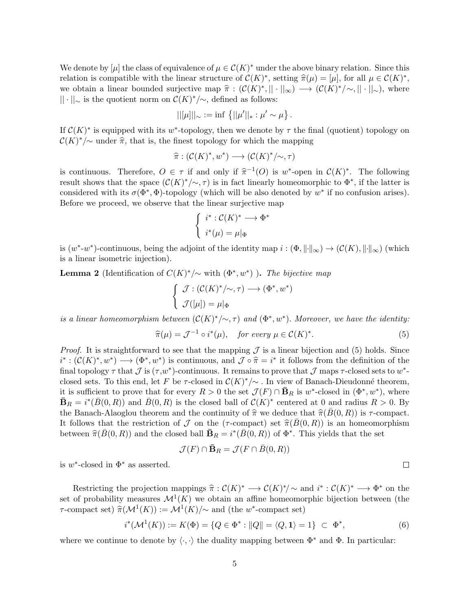We denote by  $[\mu]$  the class of equivalence of  $\mu \in \mathcal{C}(K)^*$  under the above binary relation. Since this relation is compatible with the linear structure of  $C(K)^*$ , setting  $\hat{\pi}(\mu) = [\mu]$ , for all  $\mu \in C(K)^*$ ,<br>we obtain a linear bounded surjective map  $\hat{\pi} : C(K)^* \perp \square \longrightarrow C(K)^* \perp \square \perp \square$ , where we obtain a linear bounded surjective map  $\hat{\pi} : (\mathcal{C}(K)^*, || \cdot ||_{\infty}) \longrightarrow (\mathcal{C}(K)^*/\sim, || \cdot ||_{\sim}),$  where  $|| \cdot ||_{\sim}$  is the quotient norm on  $\mathcal{C}(K)^*/\sim$ , defined as follows:

$$
||[\mu]||_{\sim} := \inf \{||\mu'||_* : \mu' \sim \mu\}.
$$

If  $C(K)^*$  is equipped with its w<sup>\*</sup>-topology, then we denote by  $\tau$  the final (quotient) topology on  $\mathcal{C}(K)^*/\sim$  under  $\widehat{\pi}$ , that is, the finest topology for which the mapping

$$
\widehat{\pi}: (\mathcal{C}(K)^*, w^*) \longrightarrow (\mathcal{C}(K)^*/\sim, \tau)
$$

is continuous. Therefore,  $O \in \tau$  if and only if  $\hat{\pi}^{-1}(O)$  is w<sup>\*</sup>-open in  $\mathcal{C}(K)^*$ . The following<br>result shows that the space  $(\mathcal{C}(K)^*, \mathcal{L}, \tau)$  is in fact linearly homogeneously to  $\Phi^*$ , if the latter is result shows that the space  $(\mathcal{C}(K)^*/\sim, \tau)$  is in fact linearly homeomorphic to  $\Phi^*$ , if the latter is considered with its  $\sigma(\Phi^*, \Phi)$ -topology (which will be also denoted by  $w^*$  if no confusion arises). Before we proceed, we observe that the linear surjective map

$$
\left\{ \begin{array}{l} i^*:\mathcal{C}(K)^* \longrightarrow \Phi^* \\[10pt] i^*(\mu)=\mu|_\Phi \end{array} \right.
$$

is  $(w^* \text{-} w^*)$ -continuous, being the adjoint of the identity map  $i : (\Phi, \|\cdot\|_{\infty}) \to (\mathcal{C}(K), \|\cdot\|_{\infty})$  (which is a linear isometric injection).

**Lemma 2** (Identification of  $C(K)^*/\sim$  with  $(\Phi^*, w^*)$ ). The bijective map

$$
\left\{ \begin{array}{l} \mathcal{J} : (\mathcal{C}(K)^*/\!\!\sim, \tau) \longrightarrow (\Phi^*, w^*) \\ \mathcal{J}([\mu]) = \mu|_\Phi \end{array} \right.
$$

is a linear homeomorphism between  $(\mathcal{C}(K)^*/\sim,\tau)$  and  $(\Phi^*,w^*)$ . Moreover, we have the identity:

$$
\widehat{\pi}(\mu) = \mathcal{J}^{-1} \circ i^*(\mu), \quad \text{for every } \mu \in \mathcal{C}(K)^*.
$$
 (5)

*Proof.* It is straightforward to see that the mapping  $\mathcal J$  is a linear bijection and (5) holds. Since  $i^*: (\mathcal{C}(K)^*, w^*) \longrightarrow (\Phi^*, w^*)$  is continuous, and  $\mathcal{J} \circ \hat{\pi} = i^*$  it follows from the definition of the final topology  $\pi$  that  $\mathcal{J}$  is  $(\pi, w^*)$  continuous. It remains to prove that  $\mathcal{J}$  mans  $\pi$  closed sets to final topology  $\tau$  that  $\mathcal J$  is  $(\tau,w^*)$ -continuous. It remains to prove that  $\mathcal J$  maps  $\tau$ -closed sets to  $w^*$ closed sets. To this end, let F be  $\tau$ -closed in  $\mathcal{C}(K)^*/\sim$ . In view of Banach-Dieudonné theorem, it is sufficient to prove that for every  $R > 0$  the set  $\mathcal{J}(F) \cap \bar{\mathbf{B}}_R$  is w<sup>\*</sup>-closed in  $(\Phi^*, w^*)$ , where  $\bar{\mathbf{B}}_R = i^*(\bar{B}(0,R))$  and  $\bar{B}(0,R)$  is the closed ball of  $\mathcal{C}(K)^*$  centered at 0 and radius  $R > 0$ . By the Banach-Alaoglou theorem and the continuity of  $\hat{\pi}$  we deduce that  $\hat{\pi}(\overline{B}(0, R))$  is  $\tau$ -compact. It follows that the restriction of J on the ( $\tau$ -compact) set  $\hat{\pi}(B(0, R))$  is an homeomorphism between  $\hat{\pi}(\bar{B}(0,R))$  and the closed ball  $\bar{\mathbf{B}}_R = i^*(\bar{B}(0,R))$  of  $\Phi^*$ . This yields that the set

$$
\mathcal{J}(F) \cap \bar{\mathbf{B}}_R = \mathcal{J}(F \cap \bar{B}(0,R))
$$

is  $w^*$ -closed in  $\Phi^*$  as asserted.

Restricting the projection mappings  $\hat{\pi}: C(K)^* \longrightarrow C(K)^*/\sim$  and  $i^*: C(K)^* \longrightarrow \Phi^*$  on the of probability magnumes  $M^1(K)$  we obtain an effine homeomorphic bijection between (the set of probability measures  $\mathcal{M}^1(K)$  we obtain an affine homeomorphic bijection between (the  $τ$ -compact set)  $\hat{\pi}(\mathcal{M}^1(K)) := \mathcal{M}^1(K)/\sim$  and (the w<sup>\*</sup>-compact set)

$$
i^*(\mathcal{M}^1(K)) := K(\Phi) = \{ Q \in \Phi^* : ||Q|| = \langle Q, \mathbf{1} \rangle = 1 \} \subset \Phi^*,
$$
 (6)

where we continue to denote by  $\langle \cdot, \cdot \rangle$  the duality mapping between  $\Phi^*$  and  $\Phi$ . In particular:

 $\Box$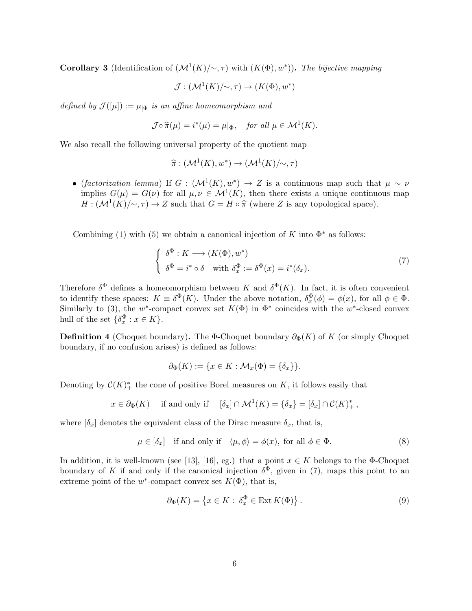**Corollary 3** (Identification of  $(\mathcal{M}^1(K)/\sim, \tau)$  with  $(K(\Phi), w^*)$ ). The bijective mapping

$$
\mathcal{J} : (\mathcal{M}^1(K)/\!\!\sim, \tau) \to (K(\Phi), w^*)
$$

defined by  $\mathcal{J}([\mu]):=\mu_{|\Phi}$  is an affine homeomorphism and

$$
\mathcal{J} \circ \widehat{\pi}(\mu) = i^*(\mu) = \mu|_{\Phi}, \quad \text{for all } \mu \in \mathcal{M}^1(K).
$$

We also recall the following universal property of the quotient map

$$
\widehat{\pi}: (\mathcal{M}^1(K), w^*) \to (\mathcal{M}^1(K)/\!\!\sim, \tau)
$$

• (factorization lemma) If  $G: (\mathcal{M}^1(K), w^*) \to Z$  is a continuous map such that  $\mu \sim \nu$ implies  $G(\mu) = G(\nu)$  for all  $\mu, \nu \in M^1(K)$ , then there exists a unique continuous map  $H: (\mathcal{M}^1(K)/\sim, \tau) \to Z$  such that  $G = H \circ \widehat{\pi}$  (where Z is any topological space).

Combining (1) with (5) we obtain a canonical injection of K into  $\Phi^*$  as follows:

$$
\begin{cases}\n\delta^{\Phi}: K \longrightarrow (K(\Phi), w^*) \\
\delta^{\Phi} = i^* \circ \delta \quad \text{with } \delta_x^{\Phi} := \delta^{\Phi}(x) = i^*(\delta_x).\n\end{cases}
$$
\n(7)

Therefore  $\delta^{\Phi}$  defines a homeomorphism between K and  $\delta^{\Phi}(K)$ . In fact, it is often convenient to identify these spaces:  $K \equiv \delta^{\Phi}(K)$ . Under the above notation,  $\delta_x^{\Phi}(\phi) = \phi(x)$ , for all  $\phi \in \Phi$ . Similarly to (3), the w<sup>\*</sup>-compact convex set  $K(\Phi)$  in  $\Phi^*$  coincides with the w<sup>\*</sup>-closed convex hull of the set  $\{\delta_x^{\Phi} : x \in K\}.$ 

**Definition 4** (Choquet boundary). The Φ-Choquet boundary  $\partial_{\Phi}(K)$  of K (or simply Choquet boundary, if no confusion arises) is defined as follows:

$$
\partial_{\Phi}(K) := \{ x \in K : \mathcal{M}_x(\Phi) = \{ \delta_x \} \}.
$$

Denoting by  $\mathcal{C}(K)^*$  the cone of positive Borel measures on K, it follows easily that

$$
x \in \partial_{\Phi}(K)
$$
 if and only if  $[\delta_x] \cap M^1(K) = {\delta_x} = [\delta_x] \cap C(K)^*$ ,

where  $[\delta_x]$  denotes the equivalent class of the Dirac measure  $\delta_x$ , that is,

$$
\mu \in [\delta_x] \quad \text{if and only if} \quad \langle \mu, \phi \rangle = \phi(x), \text{ for all } \phi \in \Phi. \tag{8}
$$

In addition, it is well-known (see [13], [16], eg.) that a point  $x \in K$  belongs to the  $\Phi$ -Choquet boundary of K if and only if the canonical injection  $\delta^{\Phi}$ , given in (7), maps this point to an extreme point of the  $w^*$ -compact convex set  $K(\Phi)$ , that is,

$$
\partial_{\Phi}(K) = \left\{ x \in K : \delta_x^{\Phi} \in \text{Ext } K(\Phi) \right\}. \tag{9}
$$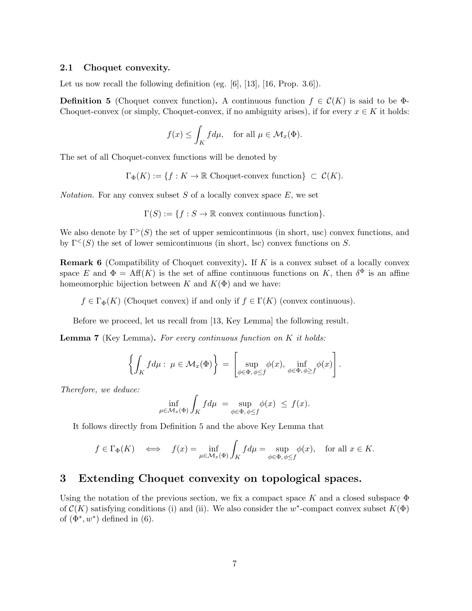### 2.1 Choquet convexity.

Let us now recall the following definition (eg. [6], [13], [16, Prop. 3.6]).

**Definition 5** (Choquet convex function). A continuous function  $f \in \mathcal{C}(K)$  is said to be  $\Phi$ -Choquet-convex (or simply, Choquet-convex, if no ambiguity arises), if for every  $x \in K$  it holds:

$$
f(x) \le \int_K f d\mu, \quad \text{for all } \mu \in \mathcal{M}_x(\Phi).
$$

The set of all Choquet-convex functions will be denoted by

 $\Gamma_{\Phi}(K) := \{f: K \to \mathbb{R}$  Choquet-convex function $\} \subset \mathcal{C}(K)$ .

*Notation*. For any convex subset  $S$  of a locally convex space  $E$ , we set

 $\Gamma(S) := \{f : S \to \mathbb{R}$  convex continuous function $\}.$ 

We also denote by  $\Gamma^{>}(S)$  the set of upper semicontinuous (in short, usc) convex functions, and by  $\Gamma^<(S)$  the set of lower semicontinuous (in short, lsc) convex functions on S.

**Remark 6** (Compatibility of Choquet convexity). If  $K$  is a convex subset of a locally convex space E and  $\Phi = Aff(K)$  is the set of affine continuous functions on K, then  $\delta^{\Phi}$  is an affine homeomorphic bijection between K and  $K(\Phi)$  and we have:

 $f \in \Gamma_{\Phi}(K)$  (Choquet convex) if and only if  $f \in \Gamma(K)$  (convex continuous).

Before we proceed, let us recall from [13, Key Lemma] the following result.

**Lemma 7** (Key Lemma). For every continuous function on  $K$  it holds:

$$
\left\{ \int_{K} f d\mu : \ \mu \in \mathcal{M}_{x}(\Phi) \right\} = \left[ \sup_{\phi \in \Phi, \ \phi \leq f} \phi(x), \inf_{\phi \in \Phi, \ \phi \geq f} \phi(x) \right].
$$

Therefore, we deduce:

$$
\inf_{\mu \in \mathcal{M}_x(\Phi)} \int_K f d\mu = \sup_{\phi \in \Phi, \phi \le f} \phi(x) \le f(x).
$$

It follows directly from Definition 5 and the above Key Lemma that

$$
f \in \Gamma_{\Phi}(K)
$$
  $\iff$   $f(x) = \inf_{\mu \in M_x(\Phi)} \int_K f d\mu = \sup_{\phi \in \Phi, \phi \le f} \phi(x)$ , for all  $x \in K$ .

### 3 Extending Choquet convexity on topological spaces.

Using the notation of the previous section, we fix a compact space K and a closed subspace  $\Phi$ of  $\mathcal{C}(K)$  satisfying conditions (i) and (ii). We also consider the w<sup>\*</sup>-compact convex subset  $K(\Phi)$ of  $(\Phi^*, w^*)$  defined in (6).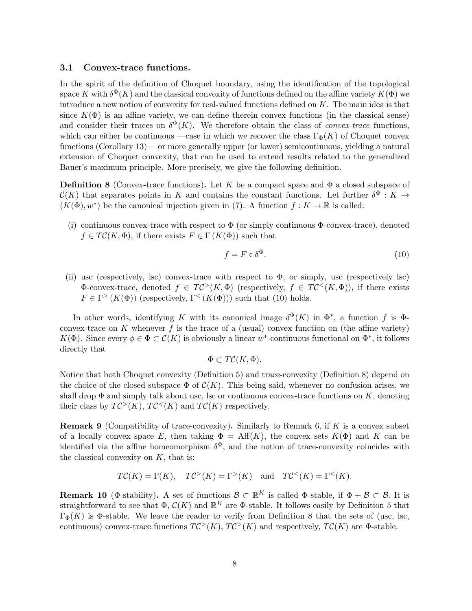### 3.1 Convex-trace functions.

In the spirit of the definition of Choquet boundary, using the identification of the topological space K with  $\delta^{\Phi}(K)$  and the classical convexity of functions defined on the affine variety  $K(\Phi)$  we introduce a new notion of convexity for real-valued functions defined on K. The main idea is that since  $K(\Phi)$  is an affine variety, we can define therein convex functions (in the classical sense) and consider their traces on  $\delta^{\Phi}(K)$ . We therefore obtain the class of *convex-trace* functions, which can either be continuous —case in which we recover the class  $\Gamma_{\Phi}(K)$  of Choquet convex functions (Corollary 13)— or more generally upper (or lower) semicontinuous, yielding a natural extension of Choquet convexity, that can be used to extend results related to the generalized Bauer's maximum principle. More precisely, we give the following definition.

**Definition 8** (Convex-trace functions). Let K be a compact space and  $\Phi$  a closed subspace of  $\mathcal{C}(K)$  that separates points in K and contains the constant functions. Let further  $\delta^{\Phi}: K \to$  $(K(\Phi), w^*)$  be the canonical injection given in (7). A function  $f: K \to \mathbb{R}$  is called:

(i) continuous convex-trace with respect to  $\Phi$  (or simply continuous  $\Phi$ -convex-trace), denoted  $f \in T\mathcal{C}(K,\Phi)$ , if there exists  $F \in \Gamma(K(\Phi))$  such that

$$
f = F \circ \delta^{\Phi}.\tag{10}
$$

(ii) usc (respectively, lsc) convex-trace with respect to  $\Phi$ , or simply, usc (respectively lsc)  $\Phi$ -convex-trace, denoted  $f \in T\mathcal{C}^>(K,\Phi)$  (respectively,  $f \in T\mathcal{C}^<(K,\Phi)$ ), if there exists  $F \in \Gamma^> (K(\Phi))$  (respectively,  $\Gamma^< (K(\Phi))$ ) such that (10) holds.

In other words, identifying K with its canonical image  $\delta^{\Phi}(K)$  in  $\Phi^*$ , a function f is  $\Phi$ convex-trace on K whenever f is the trace of a (usual) convex function on (the affine variety)  $K(\Phi)$ . Since every  $\phi \in \Phi \subset \mathcal{C}(K)$  is obviously a linear w<sup>\*</sup>-continuous functional on  $\Phi^*$ , it follows directly that

$$
\Phi \subset T\mathcal{C}(K,\Phi).
$$

Notice that both Choquet convexity (Definition 5) and trace-convexity (Definition 8) depend on the choice of the closed subspace  $\Phi$  of  $\mathcal{C}(K)$ . This being said, whenever no confusion arises, we shall drop  $\Phi$  and simply talk about usc, lsc or continuous convex-trace functions on K, denoting their class by  $T\mathcal{C}^>(K)$ ,  $T\mathcal{C}^<(K)$  and  $T\mathcal{C}(K)$  respectively.

**Remark 9** (Compatibility of trace-convexity). Similarly to Remark 6, if  $K$  is a convex subset of a locally convex space E, then taking  $\Phi = Aff(K)$ , the convex sets  $K(\Phi)$  and K can be identified via the affine homeomorphism  $\delta^{\Phi}$ , and the notion of trace-convexity coincides with the classical convexity on  $K$ , that is:

$$
TC(K) = \Gamma(K)
$$
,  $TC^>(K) = \Gamma^>(K)$  and  $TC^<(K) = \Gamma^<(K)$ .

**Remark 10** ( $\Phi$ -stability). A set of functions  $\mathcal{B} \subset \mathbb{R}^K$  is called  $\Phi$ -stable, if  $\Phi + \mathcal{B} \subset \mathcal{B}$ . It is straightforward to see that  $\Phi$ ,  $\mathcal{C}(K)$  and  $\mathbb{R}^K$  are  $\Phi$ -stable. It follows easily by Definition 5 that  $\Gamma_{\Phi}(K)$  is  $\Phi$ -stable. We leave the reader to verify from Definition 8 that the sets of (usc, lsc, continuous) convex-trace functions  $TC^>(K)$ ,  $TC^>(K)$  and respectively,  $TC(K)$  are  $\Phi$ -stable.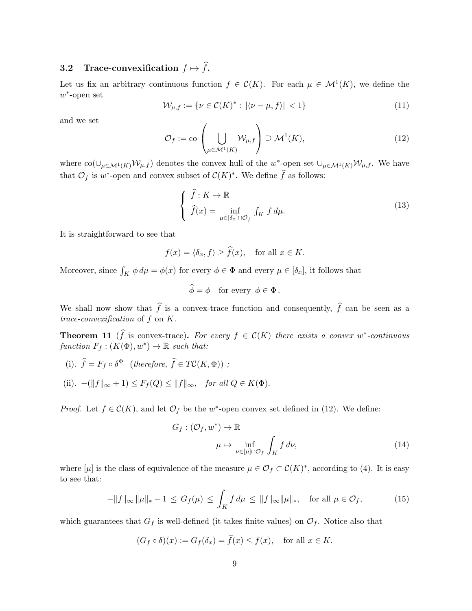# 3.2 Trace-convexification  $f \mapsto \hat{f}$ .

Let us fix an arbitrary continuous function  $f \in \mathcal{C}(K)$ . For each  $\mu \in \mathcal{M}^1(K)$ , we define the  $w^*$ -open set

$$
\mathcal{W}_{\mu,f} := \{ \nu \in \mathcal{C}(K)^* : |\langle \nu - \mu, f \rangle| < 1 \} \tag{11}
$$

and we set

$$
\mathcal{O}_f := \text{co}\left(\bigcup_{\mu \in \mathcal{M}^1(K)} \mathcal{W}_{\mu,f}\right) \supseteq \mathcal{M}^1(K),\tag{12}
$$

where  $\text{co}(\cup_{\mu \in \mathcal{M}^1(K)} \mathcal{W}_{\mu,f})$  denotes the convex hull of the w<sup>\*</sup>-open set  $\cup_{\mu \in \mathcal{M}^1(K)} \mathcal{W}_{\mu,f}$ . We have that  $\mathcal{O}_f$  is w<sup>\*</sup>-open and convex subset of  $\mathcal{C}(K)^*$ . We define  $\widehat{f}$  as follows:

$$
\begin{cases}\n\hat{f}: K \to \mathbb{R} \\
\hat{f}(x) = \inf_{\mu \in [\delta_x] \cap \mathcal{O}_f} \int_K f \, d\mu.\n\end{cases}
$$
\n(13)

It is straightforward to see that

$$
f(x) = \langle \delta_x, f \rangle \ge f(x), \quad \text{for all } x \in K.
$$

Moreover, since  $\int_K \phi \, d\mu = \phi(x)$  for every  $\phi \in \Phi$  and every  $\mu \in [\delta_x]$ , it follows that

$$
\widehat{\phi} = \phi \quad \text{for every} \ \phi \in \Phi \, .
$$

We shall now show that  $\widehat{f}$  is a convex-trace function and consequently,  $\widehat{f}$  can be seen as a trace-convexification of f on K.

**Theorem 11** ( $\widehat{f}$  is convex-trace). For every  $f \in \mathcal{C}(K)$  there exists a convex w\*-continuous function  $F_f: (K(\Phi), w^*) \to \mathbb{R}$  such that:

- (i).  $\widehat{f} = F_f \circ \delta^{\Phi}$  (therefore,  $\widehat{f} \in T\mathcal{C}(K, \Phi)$ );
- (ii).  $-(\|f\|_{\infty} + 1) \leq F_f(Q) \leq \|f\|_{\infty},$  for all  $Q \in K(\Phi)$ .

*Proof.* Let  $f \in \mathcal{C}(K)$ , and let  $\mathcal{O}_f$  be the w<sup>\*</sup>-open convex set defined in (12). We define:

$$
G_f: (\mathcal{O}_f, w^*) \to \mathbb{R}
$$
  

$$
\mu \mapsto \inf_{\nu \in [\mu] \cap \mathcal{O}_f} \int_K f \, d\nu,
$$
 (14)

where  $[\mu]$  is the class of equivalence of the measure  $\mu \in \mathcal{O}_f \subset \mathcal{C}(K)^*$ , according to (4). It is easy to see that:

$$
-\|f\|_{\infty} \|\mu\|_{*} - 1 \le G_f(\mu) \le \int_{K} f d\mu \le \|f\|_{\infty} \|\mu\|_{*}, \quad \text{for all } \mu \in \mathcal{O}_f,
$$
 (15)

which guarantees that  $G_f$  is well-defined (it takes finite values) on  $\mathcal{O}_f$ . Notice also that

$$
(G_f \circ \delta)(x) := G_f(\delta_x) = f(x) \le f(x)
$$
, for all  $x \in K$ .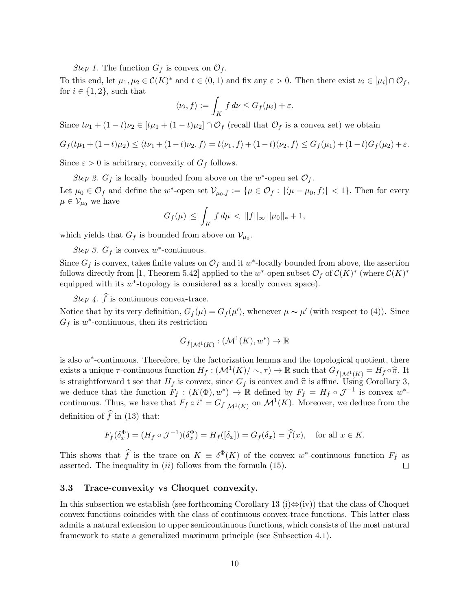Step 1. The function  $G_f$  is convex on  $\mathcal{O}_f$ .

To this end, let  $\mu_1, \mu_2 \in C(K)^*$  and  $t \in (0,1)$  and fix any  $\varepsilon > 0$ . Then there exist  $\nu_i \in [\mu_i] \cap \mathcal{O}_f$ , for  $i \in \{1, 2\}$ , such that

$$
\langle \nu_i, f \rangle := \int_K f \, d\nu \le G_f(\mu_i) + \varepsilon.
$$

Since  $t\nu_1 + (1-t)\nu_2 \in [t\mu_1 + (1-t)\mu_2] \cap \mathcal{O}_f$  (recall that  $\mathcal{O}_f$  is a convex set) we obtain

$$
G_f(t\mu_1 + (1-t)\mu_2) \le \langle tv_1 + (1-t)v_2, f \rangle = t\langle v_1, f \rangle + (1-t)\langle v_2, f \rangle \le G_f(\mu_1) + (1-t)G_f(\mu_2) + \varepsilon.
$$

Since  $\varepsilon > 0$  is arbitrary, convexity of  $G_f$  follows.

Step 2.  $G_f$  is locally bounded from above on the w<sup>\*</sup>-open set  $\mathcal{O}_f$ . Let  $\mu_0 \in \mathcal{O}_f$  and define the w<sup>\*</sup>-open set  $\mathcal{V}_{\mu_0,f} := \{ \mu \in \mathcal{O}_f : |\langle \mu - \mu_0, f \rangle| < 1 \}.$  Then for every  $\mu \in \mathcal{V}_{\mu_0}$  we have

$$
G_f(\mu) \le \int_K f \, d\mu < ||f||_{\infty} ||\mu_0||_* + 1,
$$

which yields that  $G_f$  is bounded from above on  $\mathcal{V}_{\mu_0}$ .

Step 3.  $G_f$  is convex w\*-continuous.

Since  $G_f$  is convex, takes finite values on  $\mathcal{O}_f$  and it w<sup>\*</sup>-locally bounded from above, the assertion follows directly from [1, Theorem 5.42] applied to the w<sup>\*</sup>-open subset  $\mathcal{O}_f$  of  $\mathcal{C}(K)^*$  (where  $\mathcal{C}(K)^*$ equipped with its  $w^*$ -topology is considered as a locally convex space).

Step 4.  $\hat{f}$  is continuous convex-trace.

Notice that by its very definition,  $G_f(\mu) = G_f(\mu')$ , whenever  $\mu \sim \mu'$  (with respect to (4)). Since  $G_f$  is w<sup>\*</sup>-continuous, then its restriction

$$
G_{f|{\mathcal M}^1(K)}:({\mathcal M}^1(K),w^*)\to\mathbb{R}
$$

is also  $w^*$ -continuous. Therefore, by the factorization lemma and the topological quotient, there exists a unique  $\tau$ -continuous function  $H_f: (\mathcal{M}^1(K)/\sim, \tau) \to \mathbb{R}$  such that  $G_{f|_{\mathcal{M}^1(K)}} = H_f \circ \hat{\pi}$ . It is straightforward t see that  $H_f$  is convex, since  $G_f$  is convex and  $\hat{\pi}$  is affine. Using Corollary 3, we deduce that the function  $F_f : (K(\Phi), w^*) \to \mathbb{R}$  defined by  $F_f = H_f \circ \mathcal{J}^{-1}$  is convex  $w^*$ continuous. Thus, we have that  $F_f \circ i^* = G_{f \mid \mathcal{M}^1(K)}$  on  $\mathcal{M}^1(K)$ . Moreover, we deduce from the definition of  $\widehat{f}$  in (13) that:

$$
F_f(\delta_x^{\Phi}) = (H_f \circ \mathcal{J}^{-1})(\delta_x^{\Phi}) = H_f([\delta_x]) = G_f(\delta_x) = \hat{f}(x), \text{ for all } x \in K.
$$

This shows that  $\hat{f}$  is the trace on  $K = \delta^{\Phi}(K)$  of the convex w\*-continuous function  $F_f$  as asserted. The inequality in  $(ii)$  follows from the formula  $(15)$ .  $\Box$ 

### 3.3 Trace-convexity vs Choquet convexity.

In this subsection we establish (see forthcoming Corollary 13 (i) $\Leftrightarrow$  (iv)) that the class of Choquet convex functions coincides with the class of continuous convex-trace functions. This latter class admits a natural extension to upper semicontinuous functions, which consists of the most natural framework to state a generalized maximum principle (see Subsection 4.1).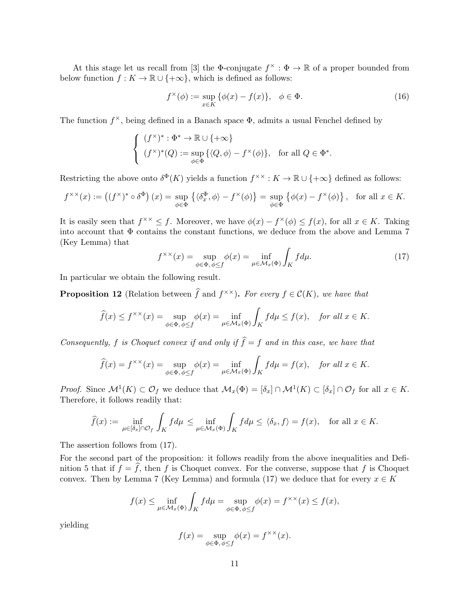At this stage let us recall from [3] the  $\Phi$ -conjugate  $f^{\times} : \Phi \to \mathbb{R}$  of a proper bounded from below function  $f : K \to \mathbb{R} \cup \{+\infty\}$ , which is defined as follows:

$$
f^{\times}(\phi) := \sup_{x \in K} \{\phi(x) - f(x)\}, \quad \phi \in \Phi.
$$
 (16)

The function  $f^{\times}$ , being defined in a Banach space  $\Phi$ , admits a usual Fenchel defined by

$$
\begin{cases}\n(f^{\times})^* : \Phi^* \to \mathbb{R} \cup \{+\infty\} \\
(f^{\times})^*(Q) := \sup_{\phi \in \Phi} \{ \langle Q, \phi \rangle - f^{\times}(\phi) \}, \quad \text{for all } Q \in \Phi^*.\n\end{cases}
$$

Restricting the above onto  $\delta^{\Phi}(K)$  yields a function  $f^{\times \times}: K \to \mathbb{R} \cup \{+\infty\}$  defined as follows:

$$
f^{\times \times}(x) := \left( (f^{\times})^* \circ \delta^{\Phi} \right)(x) = \sup_{\phi \in \Phi} \left\{ \langle \delta_x^{\Phi}, \phi \rangle - f^{\times}(\phi) \right\} = \sup_{\phi \in \Phi} \left\{ \phi(x) - f^{\times}(\phi) \right\}, \text{ for all } x \in K.
$$

It is easily seen that  $f^{\times \times} \leq f$ . Moreover, we have  $\phi(x) - f^{\times}(\phi) \leq f(x)$ , for all  $x \in K$ . Taking into account that  $\Phi$  contains the constant functions, we deduce from the above and Lemma 7 (Key Lemma) that

$$
f^{\times \times}(x) = \sup_{\phi \in \Phi, \phi \le f} \phi(x) = \inf_{\mu \in \mathcal{M}_x(\Phi)} \int_K f d\mu. \tag{17}
$$

In particular we obtain the following result.

**Proposition 12** (Relation between  $\hat{f}$  and  $f^{\times\times}$ ). For every  $f \in \mathcal{C}(K)$ , we have that

$$
\widehat{f}(x) \le f^{\times \times}(x) = \sup_{\phi \in \Phi, \phi \le f} \phi(x) = \inf_{\mu \in \mathcal{M}_x(\Phi)} \int_K f d\mu \le f(x), \quad \text{for all } x \in K.
$$

Consequently, f is Choquet convex if and only if  $\hat{f} = f$  and in this case, we have that

$$
\widehat{f}(x) = f^{\times \times}(x) = \sup_{\phi \in \Phi, \phi \le f} \phi(x) = \inf_{\mu \in \mathcal{M}_x(\Phi)} \int_K f d\mu = f(x), \quad \text{for all } x \in K.
$$

*Proof.* Since  $\mathcal{M}^1(K) \subset \mathcal{O}_f$  we deduce that  $\mathcal{M}_x(\Phi) = [\delta_x] \cap \mathcal{M}^1(K) \subset [\delta_x] \cap \mathcal{O}_f$  for all  $x \in K$ . Therefore, it follows readily that:

$$
\widehat{f}(x) := \inf_{\mu \in [\delta_x] \cap \mathcal{O}_f} \int_K f d\mu \le \inf_{\mu \in \mathcal{M}_x(\Phi)} \int_K f d\mu \le \langle \delta_x, f \rangle = f(x), \quad \text{for all } x \in K.
$$

The assertion follows from (17).

For the second part of the proposition: it follows readily from the above inequalities and Definition 5 that if  $f = \hat{f}$ , then f is Choquet convex. For the converse, suppose that f is Choquet convex. Then by Lemma 7 (Key Lemma) and formula (17) we deduce that for every  $x \in K$ 

$$
f(x) \le \inf_{\mu \in \mathcal{M}_x(\Phi)} \int_K f d\mu = \sup_{\phi \in \Phi, \phi \le f} \phi(x) = f^{\times \times}(x) \le f(x),
$$

yielding

$$
f(x) = \sup_{\phi \in \Phi, \phi \le f} \phi(x) = f^{\times \times}(x).
$$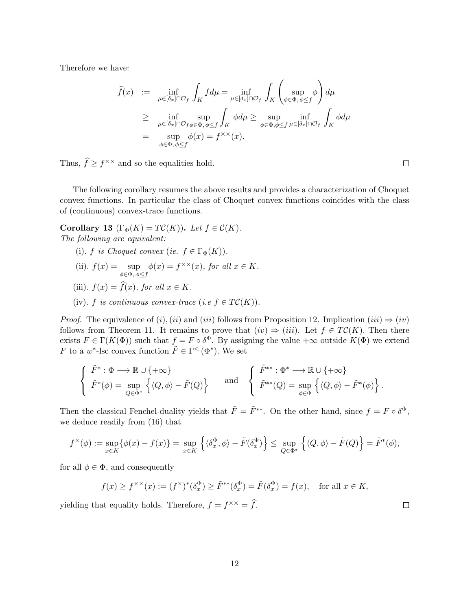Therefore we have:

$$
\hat{f}(x) := \inf_{\mu \in [\delta_x] \cap \mathcal{O}_f} \int_K f d\mu = \inf_{\mu \in [\delta_x] \cap \mathcal{O}_f} \int_K \left( \sup_{\phi \in \Phi, \phi \le f} \phi \right) d\mu
$$
\n
$$
\ge \inf_{\mu \in [\delta_x] \cap \mathcal{O}_f} \sup_{\phi \in \Phi, \phi \le f} \int_K \phi d\mu \ge \sup_{\phi \in \Phi, \phi \le f} \inf_{\mu \in [\delta_x] \cap \mathcal{O}_f} \int_K \phi d\mu
$$
\n
$$
= \sup_{\phi \in \Phi, \phi \le f} \phi(x) = f^{\times \times}(x).
$$

Thus,  $\widehat{f} \geq f^{\times \times}$  and so the equalities hold.

The following corollary resumes the above results and provides a characterization of Choquet convex functions. In particular the class of Choquet convex functions coincides with the class of (continuous) convex-trace functions.

Corollary 13  $(\Gamma_{\Phi}(K) = T\mathcal{C}(K))$ . Let  $f \in \mathcal{C}(K)$ . The following are equivalent:

- (i). f is Choquet convex (ie.  $f \in \Gamma_{\Phi}(K)$ ).
- (ii).  $f(x) = \sup$  $\phi \in \Phi$ ,  $\phi \leq f$  $\phi(x) = f^{\times \times}(x)$ , for all  $x \in K$ .
- (iii).  $f(x) = \hat{f}(x)$ , for all  $x \in K$ .
- (iv). f is continuous convex-trace (i.e  $f \in T\mathcal{C}(K)$ ).

*Proof.* The equivalence of  $(i)$ ,  $(ii)$  and  $(iii)$  follows from Proposition 12. Implication  $(iii) \Rightarrow (iv)$ follows from Theorem 11. It remains to prove that  $(iv) \Rightarrow (iii)$ . Let  $f \in T\mathcal{C}(K)$ . Then there exists  $F \in \Gamma(K(\Phi))$  such that  $f = F \circ \delta^{\Phi}$ . By assigning the value  $+\infty$  outside  $K(\Phi)$  we extend F to a w<sup>\*</sup>-lsc convex function  $\tilde{F} \in \Gamma^{\leq}(\Phi^*)$ . We set

$$
\begin{cases}\n\tilde{F}^* : \Phi \longrightarrow \mathbb{R} \cup \{+\infty\} \\
\tilde{F}^*(\phi) = \sup_{Q \in \Phi^*} \left\{ \langle Q, \phi \rangle - \tilde{F}(Q) \right\} \quad \text{and} \quad \begin{cases}\n\tilde{F}^{**} : \Phi^* \longrightarrow \mathbb{R} \cup \{+\infty\} \\
\tilde{F}^{**}(Q) = \sup_{\phi \in \Phi} \left\{ \langle Q, \phi \rangle - \tilde{F}^*(\phi) \right\}.\n\end{cases}
$$

Then the classical Fenchel-duality yields that  $\tilde{F} = \tilde{F}^{**}$ . On the other hand, since  $f = F \circ \delta^{\Phi}$ , we deduce readily from (16) that

$$
f^{\times}(\phi) := \sup_{x \in K} \{ \phi(x) - f(x) \} = \sup_{x \in K} \left\{ \langle \delta_x^{\Phi}, \phi \rangle - \tilde{F}(\delta_x^{\Phi}) \right\} \le \sup_{Q \in \Phi^*} \left\{ \langle Q, \phi \rangle - \tilde{F}(Q) \right\} = \tilde{F}^*(\phi),
$$

for all  $\phi \in \Phi$ , and consequently

$$
f(x) \ge f^{\times \times}(x) := (f^{\times})^*(\delta_x^{\Phi}) \ge \tilde{F}^{**}(\delta_x^{\Phi}) = \tilde{F}(\delta_x^{\Phi}) = f(x), \text{ for all } x \in K,
$$

yielding that equality holds. Therefore,  $f = f^{\times \times} = \hat{f}$ .

 $\Box$ 

 $\Box$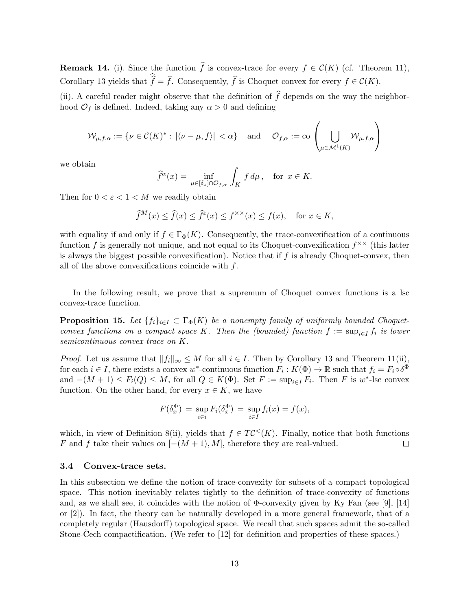**Remark 14.** (i). Since the function  $\hat{f}$  is convex-trace for every  $f \in C(K)$  (cf. Theorem 11), Corollary 13 yields that  $f = f$ . Consequently, f is Choquet convex for every  $f \in \mathcal{C}(K)$ .

(ii). A careful reader might observe that the definition of  $\hat{f}$  depends on the way the neighborhood  $\mathcal{O}_f$  is defined. Indeed, taking any  $\alpha > 0$  and defining

$$
\mathcal{W}_{\mu,f,\alpha}:=\{\nu\in\mathcal{C}(K)^{*}:\, |\langle\nu-\mu,f\rangle|<\alpha\}\quad\text{ and }\quad\mathcal{O}_{f,\alpha}:=\text{co}\left(\bigcup_{\mu\in\mathcal{M}^{1}(K)}\mathcal{W}_{\mu,f,\alpha}\right)
$$

we obtain

$$
\widehat{f}^{\alpha}(x) = \inf_{\mu \in [\delta_x] \cap \mathcal{O}_{f,\alpha}} \int_K f d\mu, \text{ for } x \in K.
$$

Then for  $0 < \varepsilon < 1 < M$  we readily obtain

$$
\widehat{f}^M(x) \le \widehat{f}(x) \le \widehat{f}^{\varepsilon}(x) \le f^{\times \times}(x) \le f(x), \quad \text{for } x \in K,
$$

with equality if and only if  $f \in \Gamma_{\Phi}(K)$ . Consequently, the trace-convexification of a continuous function f is generally not unique, and not equal to its Choquet-convexification  $f^{\times\times}$  (this latter is always the biggest possible convexification). Notice that if  $f$  is already Choquet-convex, then all of the above convexifications coincide with  $f$ .

In the following result, we prove that a supremum of Choquet convex functions is a lsc convex-trace function.

**Proposition 15.** Let  $\{f_i\}_{i\in I} \subset \Gamma_{\Phi}(K)$  be a nonempty family of uniformly bounded Choquetconvex functions on a compact space K. Then the (bounded) function  $f := \sup_{i \in I} f_i$  is lower semicontinuous convex-trace on K.

*Proof.* Let us assume that  $||f_i||_{\infty} \leq M$  for all  $i \in I$ . Then by Corollary 13 and Theorem 11(ii), for each  $i \in I$ , there exists a convex w\*-continuous function  $F_i: K(\Phi) \to \mathbb{R}$  such that  $f_i = F_i \circ \delta^{\Phi}$ and  $-(M+1) \le F_i(Q) \le M$ , for all  $Q \in K(\Phi)$ . Set  $F := \sup_{i \in I} F_i$ . Then F is w<sup>\*</sup>-lsc convex function. On the other hand, for every  $x \in K$ , we have

$$
F(\delta_x^{\Phi}) = \sup_{i \in i} F_i(\delta_x^{\Phi}) = \sup_{i \in I} f_i(x) = f(x),
$$

which, in view of Definition 8(ii), yields that  $f \in T\mathcal{C}^{<}(K)$ . Finally, notice that both functions F and f take their values on  $[-(M + 1), M]$ , therefore they are real-valued.  $\Box$ 

### 3.4 Convex-trace sets.

In this subsection we define the notion of trace-convexity for subsets of a compact topological space. This notion inevitably relates tightly to the definition of trace-convexity of functions and, as we shall see, it coincides with the notion of  $\Phi$ -convexity given by Ky Fan (see [9], [14] or [2]). In fact, the theory can be naturally developed in a more general framework, that of a completely regular (Hausdorff) topological space. We recall that such spaces admit the so-called Stone-Cech compactification. (We refer to  $[12]$  for definition and properties of these spaces.)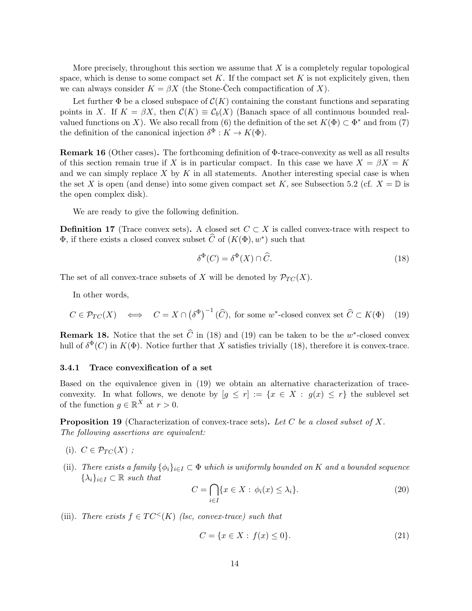More precisely, throughout this section we assume that  $X$  is a completely regular topological space, which is dense to some compact set  $K$ . If the compact set  $K$  is not explicitely given, then we can always consider  $K = \beta X$  (the Stone-Cech compactification of X).

Let further  $\Phi$  be a closed subspace of  $\mathcal{C}(K)$  containing the constant functions and separating points in X. If  $K = \beta X$ , then  $\mathcal{C}(K) \equiv \mathcal{C}_b(X)$  (Banach space of all continuous bounded realvalued functions on X). We also recall from (6) the definition of the set  $K(\Phi) \subset \Phi^*$  and from (7) the definition of the canonical injection  $\delta^{\Phi}: K \to K(\Phi)$ .

Remark 16 (Other cases). The forthcoming definition of Φ-trace-convexity as well as all results of this section remain true if X is in particular compact. In this case we have  $X = \beta X = K$ and we can simply replace  $X$  by  $K$  in all statements. Another interesting special case is when the set X is open (and dense) into some given compact set K, see Subsection 5.2 (cf.  $X = \mathbb{D}$  is the open complex disk).

We are ready to give the following definition.

**Definition 17** (Trace convex sets). A closed set  $C \subset X$  is called convex-trace with respect to  $\Phi$ , if there exists a closed convex subset  $\widehat{C}$  of  $(K(\Phi), w^*)$  such that

$$
\delta^{\Phi}(C) = \delta^{\Phi}(X) \cap \widehat{C}.
$$
\n(18)

The set of all convex-trace subsets of X will be denoted by  $\mathcal{P}_{TC}(X)$ .

In other words,

$$
C \in \mathcal{P}_{TC}(X) \iff C = X \cap (\delta^{\Phi})^{-1}(\widehat{C}), \text{ for some } w^*\text{-closed convex set } \widehat{C} \subset K(\Phi) \tag{19}
$$

**Remark 18.** Notice that the set  $\widehat{C}$  in (18) and (19) can be taken to be the w<sup>\*</sup>-closed convex hull of  $\delta^{\Phi}(C)$  in  $K(\Phi)$ . Notice further that X satisfies trivially (18), therefore it is convex-trace.

#### 3.4.1 Trace convexification of a set

Based on the equivalence given in (19) we obtain an alternative characterization of traceconvexity. In what follows, we denote by  $[g \leq r] := \{x \in X : g(x) \leq r\}$  the sublevel set of the function  $g \in \mathbb{R}^X$  at  $r > 0$ .

**Proposition 19** (Characterization of convex-trace sets). Let C be a closed subset of X. The following assertions are equivalent:

(i).  $C \in \mathcal{P}_{TC}(X)$ ;

(ii). There exists a family  $\{\phi_i\}_{i\in I} \subset \Phi$  which is uniformly bounded on K and a bounded sequence  $\{\lambda_i\}_{i\in I}\subset \mathbb{R}$  such that

$$
C = \bigcap_{i \in I} \{ x \in X : \phi_i(x) \le \lambda_i \}. \tag{20}
$$

(iii). There exists  $f \in TC<sup>lt</sup>(K)$  (lsc, convex-trace) such that

$$
C = \{x \in X : f(x) \le 0\}.
$$
\n(21)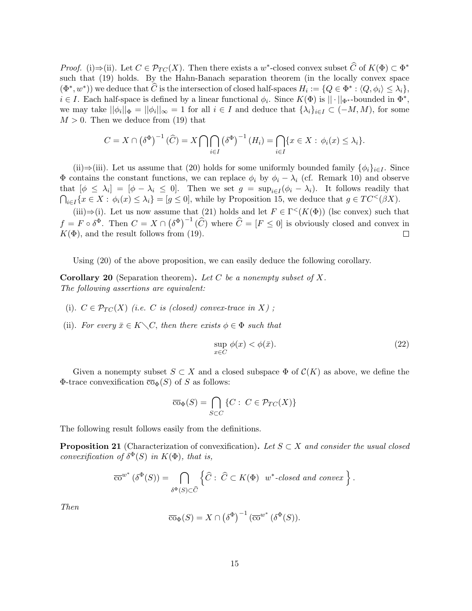*Proof.* (i)  $\Rightarrow$  (ii). Let  $C \in \mathcal{P}_{TC}(X)$ . Then there exists a w<sup>\*</sup>-closed convex subset  $\widehat{C}$  of  $K(\Phi) \subset \Phi^*$ such that (19) holds. By the Hahn-Banach separation theorem (in the locally convex space  $(\Phi^*, w^*)$ ) we deduce that  $\widehat{C}$  is the intersection of closed half-spaces  $H_i := \{Q \in \Phi^* : \langle Q, \phi_i \rangle \leq \lambda_i\},\$  $i \in I$ . Each half-space is defined by a linear functional  $\phi_i$ . Since  $K(\Phi)$  is  $\|\cdot\|_{\Phi^*}$ -bounded in  $\Phi^*$ , we may take  $||\phi_i||_{\Phi} = ||\phi_i||_{\infty} = 1$  for all  $i \in I$  and deduce that  $\{\lambda_i\}_{i \in I} \subset (-M, M)$ , for some  $M > 0$ . Then we deduce from (19) that

$$
C = X \cap (\delta^{\Phi})^{-1}(\widehat{C}) = X \bigcap \bigcap_{i \in I} (\delta^{\Phi})^{-1} (H_i) = \bigcap_{i \in I} \{x \in X : \phi_i(x) \le \lambda_i\}.
$$

(ii)⇒(iii). Let us assume that (20) holds for some uniformly bounded family  $\{\phi_i\}_{i\in I}$ . Since Φ contains the constant functions, we can replace  $\phi_i$  by  $\phi_i - \lambda_i$  (cf. Remark 10) and observe that  $[\phi \leq \lambda_i] = [\phi - \lambda_i \leq 0]$ . Then we set  $g = \sup_{i \in I} (\phi_i - \lambda_i)$ . It follows readily that  $\bigcap_{i\in I}\{x\in X:\,\phi_i(x)\leq\lambda_i\}=[g\leq 0],\,\text{while by Proposition 15, we deduce that }g\in TC^{\lt}(\beta X).$ 

(iii) $\Rightarrow$ (i). Let us now assume that (21) holds and let  $F \in \Gamma^{<}(K(\Phi))$  (lsc convex) such that  $f = F \circ \delta^{\Phi}$ . Then  $C = X \cap (\delta^{\Phi})^{-1}(\widehat{C})$  where  $\widehat{C} = [F \le 0]$  is obviously closed and convex in  $K(\Phi)$ , and the result follows from (19).

Using (20) of the above proposition, we can easily deduce the following corollary.

**Corollary 20** (Separation theorem). Let C be a nonempty subset of X. The following assertions are equivalent:

- (i).  $C \in \mathcal{P}_{TC}(X)$  (i.e. C is (closed) convex-trace in X);
- (ii). For every  $\bar{x} \in K \diagdown C$ , then there exists  $\phi \in \Phi$  such that

$$
\sup_{x \in C} \phi(x) < \phi(\bar{x}).\tag{22}
$$

Given a nonempty subset  $S \subset X$  and a closed subspace  $\Phi$  of  $\mathcal{C}(K)$  as above, we define the Φ-trace convexification  $\overline{\text{co}}_{\Phi}(S)$  of S as follows:

$$
\overline{\text{co}}_{\Phi}(S) = \bigcap_{S \subset C} \{ C : C \in \mathcal{P}_{TC}(X) \}
$$

The following result follows easily from the definitions.

**Proposition 21** (Characterization of convexification). Let  $S \subset X$  and consider the usual closed convexification of  $\delta^{\Phi}(S)$  in  $K(\Phi)$ , that is,

$$
\overline{\text{co}}^{w^*}(\delta^{\Phi}(S)) = \bigcap_{\delta^{\Phi}(S) \subset \widehat{C}} \left\{ \widehat{C} : \widehat{C} \subset K(\Phi) \ \ w^* \text{-closed and convex} \right\}.
$$

Then

$$
\overline{\operatorname{co}}_{\Phi}(S) = X \cap \left( \delta^{\Phi} \right)^{-1} \left( \overline{\operatorname{co}}^{w^*} \left( \delta^{\Phi}(S) \right) \right).
$$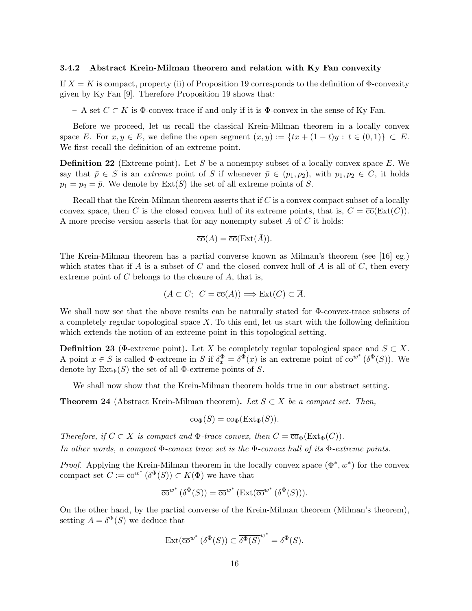#### 3.4.2 Abstract Krein-Milman theorem and relation with Ky Fan convexity

If  $X = K$  is compact, property (ii) of Proposition 19 corresponds to the definition of  $\Phi$ -convexity given by Ky Fan [9]. Therefore Proposition 19 shows that:

– A set C ⊂ K is Φ-convex-trace if and only if it is Φ-convex in the sense of Ky Fan.

Before we proceed, let us recall the classical Krein-Milman theorem in a locally convex space E. For  $x, y \in E$ , we define the open segment  $(x, y) := \{tx + (1-t)y : t \in (0,1)\} \subset E$ . We first recall the definition of an extreme point.

**Definition 22** (Extreme point). Let S be a nonempty subset of a locally convex space E. We say that  $\bar{p} \in S$  is an *extreme* point of S if whenever  $\bar{p} \in (p_1, p_2)$ , with  $p_1, p_2 \in C$ , it holds  $p_1 = p_2 = \bar{p}$ . We denote by  $\text{Ext}(S)$  the set of all extreme points of S.

Recall that the Krein-Milman theorem asserts that if  $C$  is a convex compact subset of a locally convex space, then C is the closed convex hull of its extreme points, that is,  $C = \overline{\text{co}}(\text{Ext}(C)).$ A more precise version asserts that for any nonempty subset  $A$  of  $C$  it holds:

$$
\overline{\mathrm{co}}(A) = \overline{\mathrm{co}}(\mathrm{Ext}(\overline{A})).
$$

The Krein-Milman theorem has a partial converse known as Milman's theorem (see [16] eg.) which states that if A is a subset of C and the closed convex hull of A is all of C, then every extreme point of  $C$  belongs to the closure of  $A$ , that is,

$$
(A \subset C; C = \overline{\text{co}}(A)) \Longrightarrow \text{Ext}(C) \subset \overline{A}.
$$

We shall now see that the above results can be naturally stated for Φ-convex-trace subsets of a completely regular topological space  $X$ . To this end, let us start with the following definition which extends the notion of an extreme point in this topological setting.

**Definition 23** ( $\Phi$ -extreme point). Let X be completely regular topological space and  $S \subset X$ . A point  $x \in S$  is called  $\Phi$ -extreme in S if  $\delta_x^{\Phi} = \delta^{\Phi}(x)$  is an extreme point of  $\overline{co}^{w^*}(\delta^{\Phi}(S))$ . We denote by  $\text{Ext}_{\Phi}(S)$  the set of all  $\Phi$ -extreme points of S.

We shall now show that the Krein-Milman theorem holds true in our abstract setting.

**Theorem 24** (Abstract Krein-Milman theorem). Let  $S \subset X$  be a compact set. Then,

$$
\overline{\operatorname{\mathrm{co}}}_{\Phi}(S) = \overline{\operatorname{\mathrm{co}}}_{\Phi}(\operatorname{Ext}_{\Phi}(S)).
$$

Therefore, if  $C \subset X$  is compact and  $\Phi$ -trace convex, then  $C = \overline{\text{co}}_{\Phi}(\text{Ext}_{\Phi}(C)).$ 

In other words, a compact  $\Phi$ -convex trace set is the  $\Phi$ -convex hull of its  $\Phi$ -extreme points.

*Proof.* Applying the Krein-Milman theorem in the locally convex space  $(\Phi^*, w^*)$  for the convex compact set  $C := \overline{\text{co}}^{w^*} (\delta^{\Phi}(S)) \subset K(\Phi)$  we have that

$$
\overline{\mathrm{co}}^{w^*}\left(\delta^{\Phi}(S)\right) = \overline{\mathrm{co}}^{w^*}\left(\mathrm{Ext}(\overline{\mathrm{co}}^{w^*}\left(\delta^{\Phi}(S)\right)\right).
$$

On the other hand, by the partial converse of the Krein-Milman theorem (Milman's theorem), setting  $A = \delta^{\Phi}(S)$  we deduce that

$$
\operatorname{Ext}(\overline{\operatorname{co}}^{w^*}\left({\delta}^{\Phi}(S)\right)\subset\overline{{\delta}^{\Phi}(S)}^{w^*}={\delta}^{\Phi}(S).
$$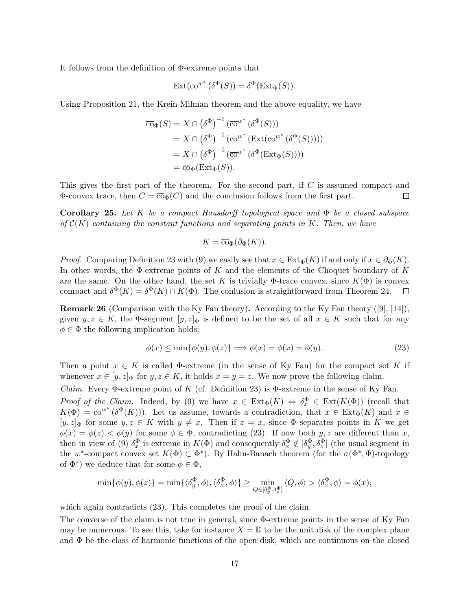It follows from the definition of Φ-extreme points that

$$
Ext(\overline{\text{co}}^{w^*}(\delta^{\Phi}(S))) = \delta^{\Phi}(Ext_{\Phi}(S)).
$$

Using Proposition 21, the Krein-Milman theorem and the above equality, we have

$$
\overline{\mathrm{co}}_{\Phi}(S) = X \cap (\delta^{\Phi})^{-1} (\overline{\mathrm{co}}^{w^*} (\delta^{\Phi}(S)))
$$
  
\n
$$
= X \cap (\delta^{\Phi})^{-1} (\overline{\mathrm{co}}^{w^*} (\mathrm{Ext}(\overline{\mathrm{co}}^{w^*} (\delta^{\Phi}(S))))
$$
  
\n
$$
= X \cap (\delta^{\Phi})^{-1} (\overline{\mathrm{co}}^{w^*} (\delta^{\Phi} (\mathrm{Ext}_{\Phi}(S))))
$$
  
\n
$$
= \overline{\mathrm{co}}_{\Phi} (\mathrm{Ext}_{\Phi}(S)).
$$

This gives the first part of the theorem. For the second part, if C is assumed compact and  $\Phi$ -convex trace, then  $C = \overline{\mathrm{co}}_{\Phi}(C)$  and the conclusion follows from the first part.  $\Box$ 

**Corollary 25.** Let K be a compact Hausdorff topological space and  $\Phi$  be a closed subspace of  $\mathcal{C}(K)$  containing the constant functions and separating points in K. Then, we have

$$
K = \overline{\text{co}}_{\Phi}(\partial_{\Phi}(K)).
$$

*Proof.* Comparing Definition 23 with (9) we easily see that  $x \in \text{Ext}_{\Phi}(K)$  if and only if  $x \in \partial_{\Phi}(K)$ . In other words, the  $\Phi$ -extreme points of K and the elements of the Choquet boundary of K are the same. On the other hand, the set K is trivially  $\Phi$ -trace convex, since  $K(\Phi)$  is convex compact and  $\delta^{\Phi}(K) = \delta^{\Phi}(K) \cap K(\Phi)$ . The conlusion is straightforward from Theorem 24.  $\Box$ 

Remark 26 (Comparison with the Ky Fan theory). According to the Ky Fan theory ([9], [14]), given  $y, z \in K$ , the  $\Phi$ -segment  $[y, z]_{\Phi}$  is defined to be the set of all  $x \in K$  such that for any  $\phi \in \Phi$  the following implication holds:

$$
\phi(x) \le \min\{\phi(y), \phi(z)\} \Longrightarrow \phi(x) = \phi(x) = \phi(y). \tag{23}
$$

Then a point  $x \in K$  is called  $\Phi$ -extreme (in the sense of Ky Fan) for the compact set K if whenever  $x \in [y, z]_{\Phi}$  for  $y, z \in K$ , it holds  $x = y = z$ . We now prove the following claim.

Claim. Every Φ-extreme point of K (cf. Definition 23) is Φ-extreme in the sense of Ky Fan. *Proof of the Claim.* Indeed, by (9) we have  $x \in Ext_{\Phi}(K) \Leftrightarrow \delta_x^{\Phi} \in Ext(K(\Phi))$  (recall that  $K(\Phi) = \overline{\text{co}}^{w^*}(\delta^{\Phi}(K))$ . Let us assume, towards a contradiction, that  $x \in \text{Ext}_{\Phi}(K)$  and  $x \in$  $[y, z]_{\Phi}$  for some  $y, z \in K$  with  $y \neq x$ . Then if  $z = x$ , since  $\Phi$  separates points in K we get  $\phi(x) = \phi(z) < \phi(y)$  for some  $\phi \in \Phi$ , contradicting (23). If now both y, z are different than x, then in view of (9)  $\delta_x^{\Phi}$  is extreme in  $K(\Phi)$  and consequently  $\delta_x^{\Phi} \notin [\delta_y^{\Phi}, \delta_z^{\Phi}]$  (the usual segment in the w<sup>\*</sup>-compact convex set  $K(\Phi) \subset \Phi^*$ ). By Hahn-Banach theorem (for the  $\sigma(\Phi^*, \Phi)$ -topology of  $\Phi^*$ ) we deduce that for some  $\phi \in \Phi$ ,

$$
\min\{\phi(y),\phi(z)\}=\min\{\langle \delta_y^{\Phi},\phi \rangle,\langle \delta_z^{\Phi},\phi \rangle\}\geq \min_{Q\in[\delta_y^{\Phi},\delta_z^{\Phi}]} \langle Q,\phi \rangle > \langle \delta_x^{\Phi},\phi \rangle = \phi(x),
$$

which again contradicts  $(23)$ . This completes the proof of the claim.

The converse of the claim is not true in general, since Φ-extreme points in the sense of Ky Fan may be numerous. To see this, take for instance  $X = \mathbb{D}$  to be the unit disk of the complex plane and  $\Phi$  be the class of harmonic functions of the open disk, which are continuous on the closed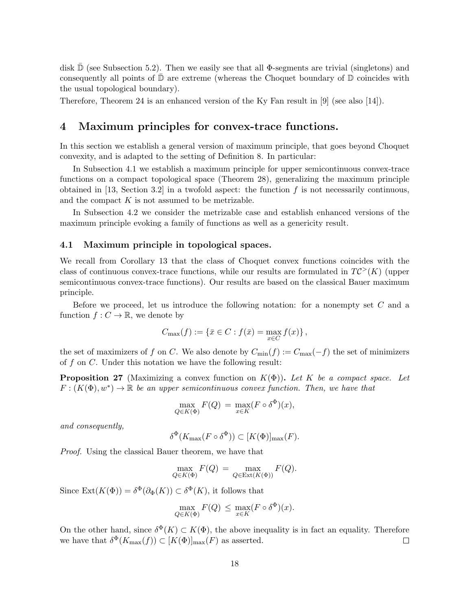disk  $\mathbb D$  (see Subsection 5.2). Then we easily see that all  $\Phi$ -segments are trivial (singletons) and consequently all points of  $\mathbb D$  are extreme (whereas the Choquet boundary of  $\mathbb D$  coincides with the usual topological boundary).

Therefore, Theorem 24 is an enhanced version of the Ky Fan result in [9] (see also [14]).

### 4 Maximum principles for convex-trace functions.

In this section we establish a general version of maximum principle, that goes beyond Choquet convexity, and is adapted to the setting of Definition 8. In particular:

In Subsection 4.1 we establish a maximum principle for upper semicontinuous convex-trace functions on a compact topological space (Theorem 28), generalizing the maximum principle obtained in [13, Section 3.2] in a twofold aspect: the function  $f$  is not necessarily continuous, and the compact  $K$  is not assumed to be metrizable.

In Subsection 4.2 we consider the metrizable case and establish enhanced versions of the maximum principle evoking a family of functions as well as a genericity result.

### 4.1 Maximum principle in topological spaces.

We recall from Corollary 13 that the class of Choquet convex functions coincides with the class of continuous convex-trace functions, while our results are formulated in  $T\mathcal{C}^>(K)$  (upper semicontinuous convex-trace functions). Our results are based on the classical Bauer maximum principle.

Before we proceed, let us introduce the following notation: for a nonempty set C and a function  $f: C \to \mathbb{R}$ , we denote by

$$
C_{\max}(f) := \{ \bar{x} \in C : f(\bar{x}) = \max_{x \in C} f(x) \},
$$

the set of maximizers of f on C. We also denote by  $C_{\min}(f) := C_{\max}(-f)$  the set of minimizers of f on C. Under this notation we have the following result:

**Proposition 27** (Maximizing a convex function on  $K(\Phi)$ ). Let K be a compact space. Let  $F: (K(\Phi), w^*) \to \mathbb{R}$  be an upper semicontinuous convex function. Then, we have that

$$
\max_{Q \in K(\Phi)} F(Q) = \max_{x \in K} (F \circ \delta^{\Phi})(x),
$$

and consequently,

$$
\delta^{\Phi}(K_{\max}(F \circ \delta^{\Phi})) \subset [K(\Phi)]_{\max}(F).
$$

Proof. Using the classical Bauer theorem, we have that

$$
\max_{Q \in K(\Phi)} F(Q) = \max_{Q \in \text{Ext}(K(\Phi))} F(Q).
$$

Since  $\text{Ext}(K(\Phi)) = \delta^{\Phi}(\partial_{\Phi}(K)) \subset \delta^{\Phi}(K)$ , it follows that

$$
\max_{Q \in K(\Phi)} F(Q) \le \max_{x \in K} (F \circ \delta^{\Phi})(x).
$$

On the other hand, since  $\delta^{\Phi}(K) \subset K(\Phi)$ , the above inequality is in fact an equality. Therefore we have that  $\delta^{\Phi}(K_{\max}(f)) \subset [K(\Phi)]_{\max}(F)$  as asserted.  $\Box$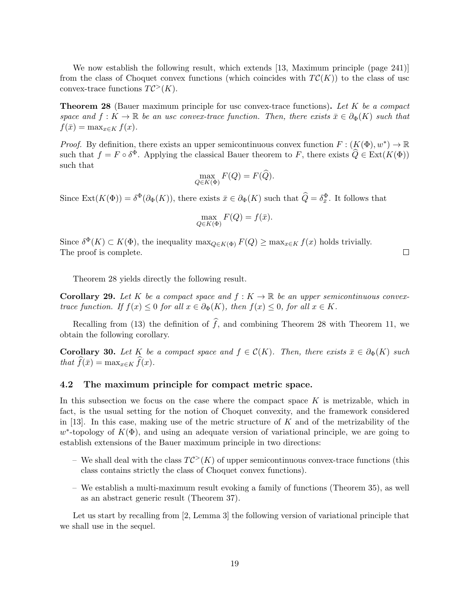We now establish the following result, which extends [13, Maximum principle (page 241)] from the class of Choquet convex functions (which coincides with  $T\mathcal{C}(K)$ ) to the class of usc convex-trace functions  $T\mathcal{C}^>(K)$ .

**Theorem 28** (Bauer maximum principle for usc convex-trace functions). Let K be a compact space and  $f: K \to \mathbb{R}$  be an usc convex-trace function. Then, there exists  $\bar{x} \in \partial_{\Phi}(K)$  such that  $f(\bar{x}) = \max_{x \in K} f(x).$ 

*Proof.* By definition, there exists an upper semicontinuous convex function  $F: (K(\Phi), w^*) \to \mathbb{R}$ such that  $f = F \circ \delta^{\Phi}$ . Applying the classical Bauer theorem to F, there exists  $\widehat{Q} \in \text{Ext}(K(\Phi))$ such that

$$
\max_{Q \in K(\Phi)} F(Q) = F(\widehat{Q}).
$$

Since  $\text{Ext}(K(\Phi)) = \delta^{\Phi}(\partial_{\Phi}(K))$ , there exists  $\bar{x} \in \partial_{\Phi}(K)$  such that  $\hat{Q} = \delta_{\bar{x}}^{\Phi}$ . It follows that

$$
\max_{Q \in K(\Phi)} F(Q) = f(\bar{x}).
$$

 $\Box$ 

Since  $\delta^{\Phi}(K) \subset K(\Phi)$ , the inequality  $\max_{Q \in K(\Phi)} F(Q) \ge \max_{x \in K} f(x)$  holds trivially. The proof is complete.

Theorem 28 yields directly the following result.

**Corollary 29.** Let K be a compact space and  $f: K \to \mathbb{R}$  be an upper semicontinuous convextrace function. If  $f(x) \leq 0$  for all  $x \in \partial_{\Phi}(K)$ , then  $f(x) \leq 0$ , for all  $x \in K$ .

Recalling from (13) the definition of  $\hat{f}$ , and combining Theorem 28 with Theorem 11, we obtain the following corollary.

**Corollary 30.** Let K be a compact space and  $f \in \mathcal{C}(K)$ . Then, there exists  $\bar{x} \in \partial_{\Phi}(K)$  such that  $\widehat{f}(\bar{x}) = \max_{x \in K} \widehat{f}(x)$ .

#### 4.2 The maximum principle for compact metric space.

In this subsection we focus on the case where the compact space  $K$  is metrizable, which in fact, is the usual setting for the notion of Choquet convexity, and the framework considered in [13]. In this case, making use of the metric structure of  $K$  and of the metrizability of the  $w^*$ -topology of  $K(\Phi)$ , and using an adequate version of variational principle, we are going to establish extensions of the Bauer maximum principle in two directions:

- We shall deal with the class  $TC^>(K)$  of upper semicontinuous convex-trace functions (this class contains strictly the class of Choquet convex functions).
- We establish a multi-maximum result evoking a family of functions (Theorem 35), as well as an abstract generic result (Theorem 37).

Let us start by recalling from [2, Lemma 3] the following version of variational principle that we shall use in the sequel.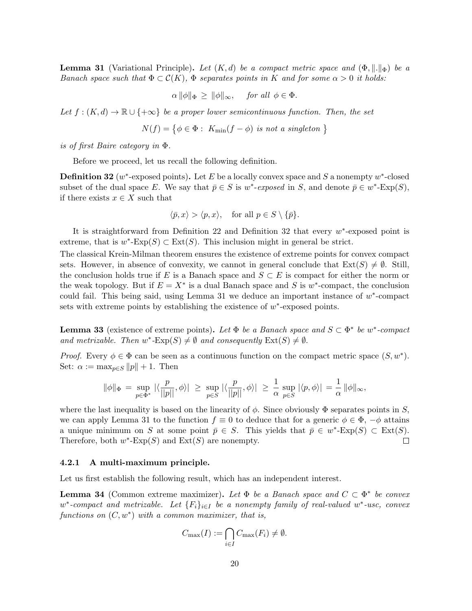**Lemma 31** (Variational Principle). Let  $(K, d)$  be a compact metric space and  $(\Phi, \|.\|_\Phi)$  be a Banach space such that  $\Phi \subset \mathcal{C}(K)$ ,  $\Phi$  separates points in K and for some  $\alpha > 0$  it holds:

$$
\alpha \|\phi\|_{\Phi} \ge \|\phi\|_{\infty}, \quad \text{for all } \phi \in \Phi.
$$

Let  $f:(K,d)\to\mathbb{R}\cup\{+\infty\}$  be a proper lower semicontinuous function. Then, the set

$$
N(f) = \{ \phi \in \Phi : K_{\min}(f - \phi) \text{ is not a singleton } \}
$$

is of first Baire category in Φ.

Before we proceed, let us recall the following definition.

**Definition 32** ( $w^*$ -exposed points). Let E be a locally convex space and S a nonempty  $w^*$ -closed subset of the dual space E. We say that  $\bar{p} \in S$  is  $w^*$ -exposed in S, and denote  $\bar{p} \in w^*$ -Exp $(S)$ , if there exists  $x \in X$  such that

$$
\langle \bar{p}, x \rangle > \langle p, x \rangle
$$
, for all  $p \in S \setminus {\bar{p}}$ .

It is straightforward from Definition 22 and Definition 32 that every  $w^*$ -exposed point is extreme, that is  $w^*$ -Exp(S)  $\subset$  Ext(S). This inclusion might in general be strict.

The classical Krein-Milman theorem ensures the existence of extreme points for convex compact sets. However, in absence of convexity, we cannot in general conclude that  $Ext(S) \neq \emptyset$ . Still, the conclusion holds true if E is a Banach space and  $S \subset E$  is compact for either the norm or the weak topology. But if  $E = X^*$  is a dual Banach space and S is w<sup>\*</sup>-compact, the conclusion could fail. This being said, using Lemma 31 we deduce an important instance of  $w^*$ -compact sets with extreme points by establishing the existence of  $w^*$ -exposed points.

**Lemma 33** (existence of extreme points). Let  $\Phi$  be a Banach space and  $S \subset \Phi^*$  be w<sup>\*</sup>-compact and metrizable. Then  $w^*$ -Exp $(S) \neq \emptyset$  and consequently  $\text{Ext}(S) \neq \emptyset$ .

Proof. Every  $\phi \in \Phi$  can be seen as a continuous function on the compact metric space  $(S, w^*)$ . Set:  $\alpha := \max_{p \in S} ||p|| + 1$ . Then

$$
\|\phi\|_\Phi\,=\,\sup_{p\in\Phi^*}\,|\langle\frac{p}{||p||},\phi\rangle|\;\ge\;\sup_{p\in S}\,|\langle\frac{p}{||p||},\phi\rangle|\;\ge\,\frac{1}{\alpha}\,\sup_{p\in S}\,|\langle p,\phi\rangle|\,=\frac{1}{\alpha}\,\|\phi\|_\infty,
$$

where the last inequality is based on the linearity of  $\phi$ . Since obviously  $\Phi$  separates points in S, we can apply Lemma 31 to the function  $f \equiv 0$  to deduce that for a generic  $\phi \in \Phi$ ,  $-\phi$  attains a unique minimum on S at some point  $\overline{p} \in S$ . This yields that  $\overline{p} \in w^*$ -Exp $(S) \subset \text{Ext}(S)$ . Therefore, both  $w^*$ -Exp(S) and Ext(S) are nonempty.  $\Box$ 

#### 4.2.1 A multi-maximum principle.

Let us first establish the following result, which has an independent interest.

**Lemma 34** (Common extreme maximizer). Let  $\Phi$  be a Banach space and  $C \subset \Phi^*$  be convex  $w^*$ -compact and metrizable. Let  ${F_i}_{i\in I}$  be a nonempty family of real-valued  $w^*$ -usc, convex functions on  $(C, w^*)$  with a common maximizer, that is,

$$
C_{\max}(I) := \bigcap_{i \in I} C_{\max}(F_i) \neq \emptyset.
$$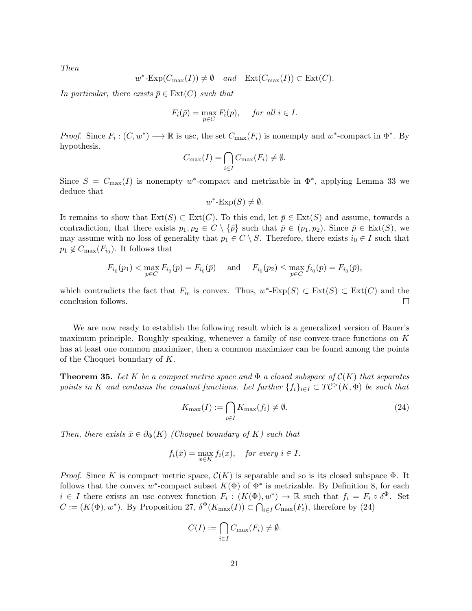Then

$$
w^*-\text{Exp}(C_{\text{max}}(I)) \neq \emptyset
$$
 and  $\text{Ext}(C_{\text{max}}(I)) \subset \text{Ext}(C)$ .

In particular, there exists  $\bar{p} \in \text{Ext}(C)$  such that

$$
F_i(\bar{p}) = \max_{p \in C} F_i(p), \quad \text{for all } i \in I.
$$

*Proof.* Since  $F_i: (C, w^*) \longrightarrow \mathbb{R}$  is usc, the set  $C_{\text{max}}(F_i)$  is nonempty and  $w^*$ -compact in  $\Phi^*$ . By hypothesis,

$$
C_{\max}(I) = \bigcap_{i \in I} C_{\max}(F_i) \neq \emptyset.
$$

Since  $S = C_{\text{max}}(I)$  is nonempty w<sup>\*</sup>-compact and metrizable in  $\Phi^*$ , applying Lemma 33 we deduce that

$$
w^* \text{-} \mathop{\rm Exp}\nolimits(S) \neq \emptyset.
$$

It remains to show that  $\text{Ext}(S) \subset \text{Ext}(C)$ . To this end, let  $\overline{p} \in \text{Ext}(S)$  and assume, towards a contradiction, that there exists  $p_1, p_2 \in C \setminus {\{\overline{p}\}}$  such that  $\overline{p} \in (p_1, p_2)$ . Since  $\overline{p} \in \text{Ext}(S)$ , we may assume with no loss of generality that  $p_1 \in C \setminus S$ . Therefore, there exists  $i_0 \in I$  such that  $p_1 \notin C_{\text{max}}(F_{i_0})$ . It follows that

$$
F_{i_0}(p_1) < \max_{p \in C} F_{i_0}(p) = F_{i_0}(\bar{p})
$$
 and  $F_{i_0}(p_2) \le \max_{p \in C} f_{i_0}(p) = F_{i_0}(\bar{p}),$ 

which contradicts the fact that  $F_{i_0}$  is convex. Thus,  $w^*$ -Exp(S)  $\subset$  Ext(S)  $\subset$  Ext(C) and the conclusion follows.  $\Box$ 

We are now ready to establish the following result which is a generalized version of Bauer's maximum principle. Roughly speaking, whenever a family of usc convex-trace functions on K has at least one common maximizer, then a common maximizer can be found among the points of the Choquet boundary of K.

**Theorem 35.** Let K be a compact metric space and  $\Phi$  a closed subspace of  $\mathcal{C}(K)$  that separates points in K and contains the constant functions. Let further  $\{f_i\}_{i\in I}\subset T\mathcal{C}^>(K,\Phi)$  be such that

$$
K_{\max}(I) := \bigcap_{i \in I} K_{\max}(f_i) \neq \emptyset. \tag{24}
$$

Then, there exists  $\bar{x} \in \partial_{\Phi}(K)$  (Choquet boundary of K) such that

$$
f_i(\bar{x}) = \max_{x \in K} f_i(x), \quad \text{for every } i \in I.
$$

*Proof.* Since K is compact metric space,  $\mathcal{C}(K)$  is separable and so is its closed subspace  $\Phi$ . It follows that the convex w<sup>\*</sup>-compact subset  $K(\Phi)$  of  $\Phi^*$  is metrizable. By Definition 8, for each  $i \in I$  there exists an usc convex function  $F_i : (K(\Phi), w^*) \to \mathbb{R}$  such that  $f_i = F_i \circ \delta^{\Phi}$ . Set  $C := (K(\Phi), w^*)$ . By Proposition 27,  $\delta^{\Phi}(K_{\max}(I)) \subset \bigcap_{i \in I} C_{\max}(F_i)$ , therefore by (24)

$$
C(I) := \bigcap_{i \in I} C_{\max}(F_i) \neq \emptyset.
$$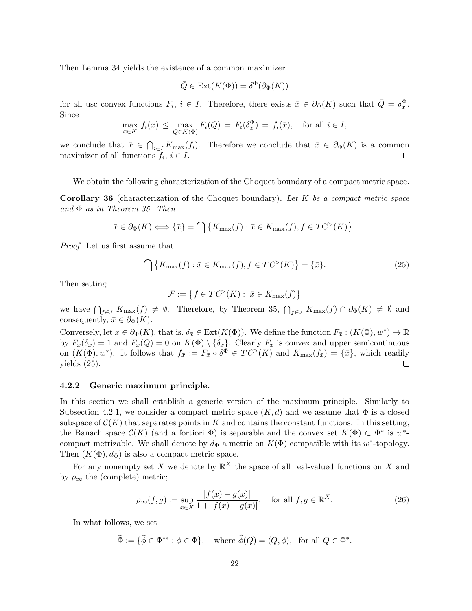Then Lemma 34 yields the existence of a common maximizer

$$
\bar{Q} \in \text{Ext}(K(\Phi)) = \delta^{\Phi}(\partial_{\Phi}(K))
$$

for all usc convex functions  $F_i$ ,  $i \in I$ . Therefore, there exists  $\bar{x} \in \partial_{\Phi}(K)$  such that  $\bar{Q} = \delta_{\bar{x}}^{\Phi}$ . Since

$$
\max_{x \in K} f_i(x) \le \max_{Q \in K(\Phi)} F_i(Q) = F_i(\delta_{\bar{x}}^{\Phi}) = f_i(\bar{x}), \text{ for all } i \in I,
$$

we conclude that  $\bar{x} \in \bigcap_{i \in I} K_{\max}(f_i)$ . Therefore we conclude that  $\bar{x} \in \partial_{\Phi}(K)$  is a common maximizer of all functions  $f_i, i \in I$ .  $\Box$ 

We obtain the following characterization of the Choquet boundary of a compact metric space.

**Corollary 36** (characterization of the Choquet boundary). Let  $K$  be a compact metric space and  $\Phi$  as in Theorem 35. Then

$$
\bar{x} \in \partial_{\Phi}(K) \Longleftrightarrow {\bar{x}} = \bigcap \{ K_{\max}(f) : \bar{x} \in K_{\max}(f), f \in TC^>(K) \}.
$$

Proof. Let us first assume that

$$
\bigcap \left\{ K_{\max}(f) : \bar{x} \in K_{\max}(f), f \in TC^>(K) \right\} = \left\{ \bar{x} \right\}.
$$
\n(25)

Then setting

$$
\mathcal{F} := \{ f \in TC^\triangleright(K) : \ \bar{x} \in K_{\max}(f) \}
$$

we have  $\bigcap_{f\in\mathcal{F}} K_{\max}(f) \neq \emptyset$ . Therefore, by Theorem 35,  $\bigcap_{f\in\mathcal{F}} K_{\max}(f) \cap \partial_{\Phi}(K) \neq \emptyset$  and consequently,  $\bar{x} \in \partial_{\Phi}(K)$ .

Conversely, let  $\bar{x} \in \partial_{\Phi}(K)$ , that is,  $\delta_{\bar{x}} \in \text{Ext}(K(\Phi))$ . We define the function  $F_{\bar{x}} : (K(\Phi), w^*) \to \mathbb{R}$ by  $F_{\bar{x}}(\delta_{\bar{x}})=1$  and  $F_{\bar{x}}(Q)=0$  on  $K(\Phi) \setminus {\delta_{\bar{x}}}$ . Clearly  $F_{\bar{x}}$  is convex and upper semicontinuous on  $(K(\Phi), w^*)$ . It follows that  $f_{\bar{x}} := F_{\bar{x}} \circ \delta^{\Phi} \in TC^{\geq}(K)$  and  $K_{\max}(f_{\bar{x}}) = {\bar{x}}$ , which readily yields (25).  $\Box$ 

### 4.2.2 Generic maximum principle.

In this section we shall establish a generic version of the maximum principle. Similarly to Subsection 4.2.1, we consider a compact metric space  $(K, d)$  and we assume that  $\Phi$  is a closed subspace of  $\mathcal{C}(K)$  that separates points in K and contains the constant functions. In this setting, the Banach space  $\mathcal{C}(K)$  (and a fortiori  $\Phi$ ) is separable and the convex set  $K(\Phi) \subset \Phi^*$  is  $w^*$ compact metrizable. We shall denote by  $d_{\Phi}$  a metric on  $K(\Phi)$  compatible with its w<sup>\*</sup>-topology. Then  $(K(\Phi), d_{\Phi})$  is also a compact metric space.

For any nonempty set X we denote by  $\mathbb{R}^X$  the space of all real-valued functions on X and by  $\rho_{\infty}$  the (complete) metric;

$$
\rho_{\infty}(f,g) := \sup_{x \in X} \frac{|f(x) - g(x)|}{1 + |f(x) - g(x)|}, \quad \text{for all } f, g \in \mathbb{R}^X. \tag{26}
$$

In what follows, we set

$$
\widehat{\Phi} := \{ \widehat{\phi} \in \Phi^{**} : \phi \in \Phi \}, \quad \text{where } \widehat{\phi}(Q) = \langle Q, \phi \rangle, \text{ for all } Q \in \Phi^*.
$$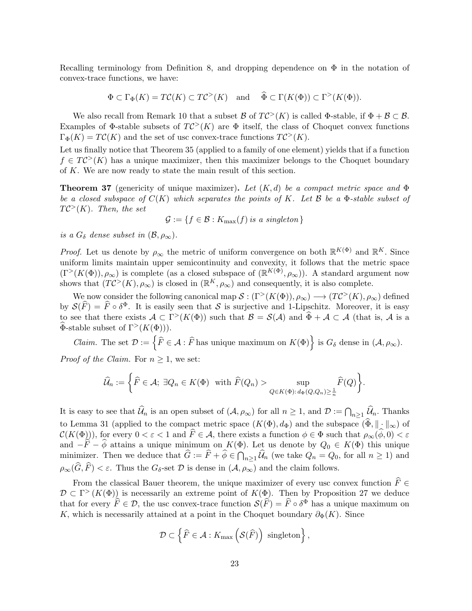Recalling terminology from Definition 8, and dropping dependence on  $\Phi$  in the notation of convex-trace functions, we have:

$$
\Phi \subset \Gamma_{\Phi}(K) = T\mathcal{C}(K) \subset T\mathcal{C}^{>}(K) \quad \text{and} \quad \widehat{\Phi} \subset \Gamma(K(\Phi)) \subset \Gamma^{>}(K(\Phi)).
$$

We also recall from Remark 10 that a subset B of  $T\mathcal{C}^>(K)$  is called  $\Phi$ -stable, if  $\Phi + \mathcal{B} \subset \mathcal{B}$ . Examples of  $\Phi$ -stable subsets of  $TC^>(K)$  are  $\Phi$  itself, the class of Choquet convex functions  $\Gamma_{\Phi}(K) = T\mathcal{C}(K)$  and the set of usc convex-trace functions  $T\mathcal{C}^>(K)$ .

Let us finally notice that Theorem 35 (applied to a family of one element) yields that if a function  $f \in T\mathcal{C}^>(K)$  has a unique maximizer, then this maximizer belongs to the Choquet boundary of K. We are now ready to state the main result of this section.

**Theorem 37** (genericity of unique maximizer). Let  $(K, d)$  be a compact metric space and  $\Phi$ be a closed subspace of  $C(K)$  which separates the points of K. Let B be a  $\Phi$ -stable subset of  $TC^>(K)$ . Then, the set

$$
\mathcal{G} := \{ f \in \mathcal{B} : K_{\max}(f) \text{ is a singleton } \}
$$

is a  $G_{\delta}$  dense subset in  $(\mathcal{B}, \rho_{\infty})$ .

*Proof.* Let us denote by  $\rho_{\infty}$  the metric of uniform convergence on both  $\mathbb{R}^{K(\Phi)}$  and  $\mathbb{R}^{K}$ . Since uniform limits maintain upper semicontinuity and convexity, it follows that the metric space  $(\Gamma^>(K(\Phi)), \rho_{\infty})$  is complete (as a closed subspace of  $(\mathbb{R}^{K(\Phi)}, \rho_{\infty})$ ). A standard argument now shows that  $(T\mathcal{C}^>(K), \rho_\infty)$  is closed in  $(\mathbb{R}^K, \rho_\infty)$  and consequently, it is also complete.

We now consider the following canonical map  $S : (\Gamma^>(K(\Phi)), \rho_\infty) \longrightarrow (T\mathcal{C}^>(K), \rho_\infty)$  defined by  $\mathcal{S}(\widehat{F}) = \widehat{F} \circ \delta^{\Phi}$ . It is easily seen that  $\mathcal S$  is surjective and 1-Lipschitz. Moreover, it is easy to see that there exists  $\mathcal{A} \subset \Gamma^{>}(K(\Phi))$  such that  $\mathcal{B} = \mathcal{S}(\mathcal{A})$  and  $\widehat{\Phi} + \mathcal{A} \subset \mathcal{A}$  (that is,  $\mathcal{A}$  is a  $\widehat{\Phi}$ -stable subset of  $\Gamma$  above  $(K(\Phi)))$ .

*Claim.* The set  $\mathcal{D} := \left\{ \widehat{F} \in \mathcal{A} : \widehat{F}$  has unique maximum on  $K(\Phi) \right\}$  is  $G_{\delta}$  dense in  $(\mathcal{A}, \rho_{\infty})$ .

*Proof of the Claim.* For  $n \geq 1$ , we set:

$$
\widehat{\mathcal{U}}_n := \left\{ \widehat{F} \in \mathcal{A}; \ \exists Q_n \in K(\Phi) \ \text{ with } \widehat{F}(Q_n) > \sup_{Q \in K(\Phi): d_{\Phi}(Q, Q_n) \geq \frac{1}{n}} \widehat{F}(Q) \right\}.
$$

It is easy to see that  $\mathcal{U}_n$  is an open subset of  $(\mathcal{A}, \rho_{\infty})$  for all  $n \geq 1$ , and  $\mathcal{D} := \bigcap_{n \geq 1} \mathcal{U}_n$ . Thanks to Lemma 31 (applied to the compact metric space  $(K(\Phi), d_{\Phi})$  and the subspace  $(\widehat{\Phi}, \|\cdot\|_{\infty})$  of  $\mathcal{C}(K(\Phi))$ , for every  $0 < \varepsilon < 1$  and  $\widehat{F} \in \mathcal{A}$ , there exists a function  $\phi \in \Phi$  such that  $\rho_{\infty}(\widehat{\phi}, 0) < \varepsilon$ and  $-F-\phi$  attains a unique minimum on  $K(\Phi)$ . Let us denote by  $Q_0 \in K(\Phi)$  this unique minimizer. Then we deduce that  $G := \overline{F} + \phi \in \bigcap_{n \geq 1} \mathcal{U}_n$  (we take  $Q_n = Q_0$ , for all  $n \geq 1$ ) and  $\rho_{\infty}(\widehat{G}, \widehat{F}) < \varepsilon$ . Thus the  $G_{\delta}$ -set  $\mathcal D$  is dense in  $(\mathcal A, \rho_{\infty})$  and the claim follows.

From the classical Bauer theorem, the unique maximizer of every usc convex function  $\widehat{F} \in$  $\mathcal{D} \subset \Gamma^{\geq}(K(\Phi))$  is necessarily an extreme point of  $K(\Phi)$ . Then by Proposition 27 we deduce that for every  $\widehat{F} \in \mathcal{D}$ , the usc convex-trace function  $\mathcal{S}(\widehat{F}) = \widehat{F} \circ \delta^{\Phi}$  has a unique maximum on K, which is necessarily attained at a point in the Choquet boundary  $\partial_{\Phi}(K)$ . Since

$$
\mathcal{D} \subset \left\{\widehat{F} \in \mathcal{A} : K_{\max}\left(\mathcal{S}(\widehat{F})\right) \text{ singleton}\right\},\
$$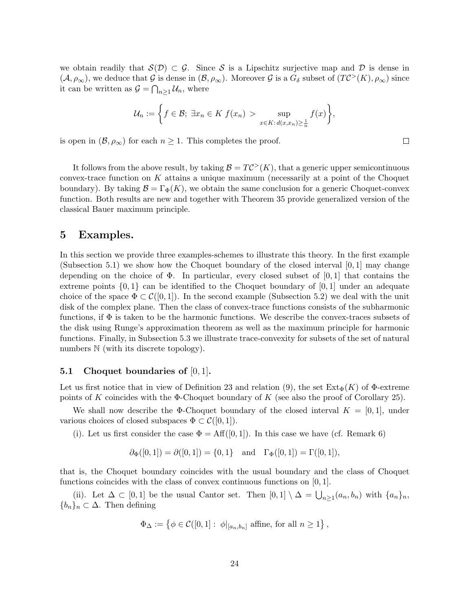we obtain readily that  $S(\mathcal{D}) \subset \mathcal{G}$ . Since S is a Lipschitz surjective map and D is dense in  $(\mathcal{A}, \rho_{\infty})$ , we deduce that G is dense in  $(\mathcal{B}, \rho_{\infty})$ . Moreover G is a  $G_{\delta}$  subset of  $(T\mathcal{C}^>(K), \rho_{\infty})$  since it can be written as  $\mathcal{G} = \bigcap_{n \geq 1} \mathcal{U}_n$ , where

$$
\mathcal{U}_n := \left\{ f \in \mathcal{B}; \ \exists x_n \in K \ f(x_n) > \sup_{x \in K: d(x, x_n) \ge \frac{1}{n}} f(x) \right\},\
$$

is open in  $(\mathcal{B}, \rho_{\infty})$  for each  $n \geq 1$ . This completes the proof.

It follows from the above result, by taking  $\mathcal{B} = T\mathcal{C}^>(K)$ , that a generic upper semicontinuous convex-trace function on  $K$  attains a unique maximum (necessarily at a point of the Choquet boundary). By taking  $\mathcal{B} = \Gamma_{\Phi}(K)$ , we obtain the same conclusion for a generic Choquet-convex function. Both results are new and together with Theorem 35 provide generalized version of the classical Bauer maximum principle.

### 5 Examples.

In this section we provide three examples-schemes to illustrate this theory. In the first example (Subsection 5.1) we show how the Choquet boundary of the closed interval  $[0,1]$  may change depending on the choice of  $\Phi$ . In particular, every closed subset of [0, 1] that contains the extreme points  $\{0,1\}$  can be identified to the Choquet boundary of  $[0,1]$  under an adequate choice of the space  $\Phi \subset \mathcal{C}([0,1])$ . In the second example (Subsection 5.2) we deal with the unit disk of the complex plane. Then the class of convex-trace functions consists of the subharmonic functions, if  $\Phi$  is taken to be the harmonic functions. We describe the convex-traces subsets of the disk using Runge's approximation theorem as well as the maximum principle for harmonic functions. Finally, in Subsection 5.3 we illustrate trace-convexity for subsets of the set of natural numbers N (with its discrete topology).

### 5.1 Choquet boundaries of  $[0, 1]$ .

Let us first notice that in view of Definition 23 and relation (9), the set  $\text{Ext}_{\Phi}(K)$  of  $\Phi$ -extreme points of K coincides with the  $\Phi$ -Choquet boundary of K (see also the proof of Corollary 25).

We shall now describe the  $\Phi$ -Choquet boundary of the closed interval  $K = [0, 1]$ , under various choices of closed subspaces  $\Phi \subset \mathcal{C}([0,1]).$ 

(i). Let us first consider the case  $\Phi = Aff([0, 1])$ . In this case we have (cf. Remark 6)

 $\partial_{\Phi}([0,1]) = \partial([0,1]) = \{0,1\}$  and  $\Gamma_{\Phi}([0,1]) = \Gamma([0,1]),$ 

that is, the Choquet boundary coincides with the usual boundary and the class of Choquet functions coincides with the class of convex continuous functions on [0, 1].

(ii). Let  $\Delta \subset [0,1]$  be the usual Cantor set. Then  $[0,1] \setminus \Delta = \bigcup_{n \geq 1} (a_n, b_n)$  with  $\{a_n\}_n$ ,  ${b_n}_n \subset \Delta$ . Then defining

$$
\Phi_{\Delta} := \left\{ \phi \in C([0,1]: \phi|_{[a_n,b_n]} \text{ affine, for all } n \geq 1 \right\},\
$$

 $\Box$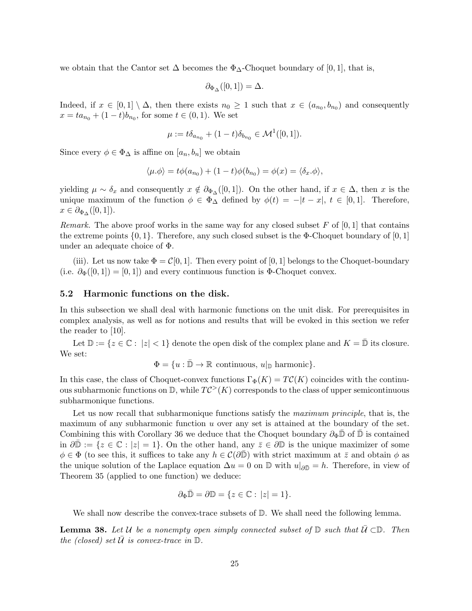we obtain that the Cantor set  $\Delta$  becomes the  $\Phi_{\Delta}$ -Choquet boundary of [0, 1], that is,

$$
\partial_{\Phi_{\Delta}}([0,1]) = \Delta.
$$

Indeed, if  $x \in [0,1] \setminus \Delta$ , then there exists  $n_0 \geq 1$  such that  $x \in (a_{n_0}, b_{n_0})$  and consequently  $x = ta_{n_0} + (1-t)b_{n_0}$ , for some  $t \in (0,1)$ . We set

$$
\mu:=t\delta_{a_{n_0}}+(1-t)\delta_{b_{n_0}}\in\mathcal{M}^1([0,1]).
$$

Since every  $\phi \in \Phi_{\Delta}$  is affine on  $[a_n, b_n]$  we obtain

$$
\langle \mu.\phi \rangle = t\phi(a_{n_0}) + (1-t)\phi(b_{n_0}) = \phi(x) = \langle \delta_x.\phi \rangle,
$$

yielding  $\mu \sim \delta_x$  and consequently  $x \notin \partial_{\Phi_{\Delta}}([0,1])$ . On the other hand, if  $x \in \Delta$ , then x is the unique maximum of the function  $\phi \in \Phi_{\Delta}$  defined by  $\phi(t) = -|t - x|, t \in [0, 1]$ . Therefore,  $x \in \partial_{\Phi_{\Delta}}([0,1]).$ 

Remark. The above proof works in the same way for any closed subset  $F$  of  $[0, 1]$  that contains the extreme points  $\{0,1\}$ . Therefore, any such closed subset is the  $\Phi$ -Choquet boundary of  $[0,1]$ under an adequate choice of Φ.

(iii). Let us now take  $\Phi = \mathcal{C}[0, 1]$ . Then every point of  $[0, 1]$  belongs to the Choquet-boundary (i.e.  $\partial_{\Phi}([0,1]) = [0,1]$ ) and every continuous function is Φ-Choquet convex.

### 5.2 Harmonic functions on the disk.

In this subsection we shall deal with harmonic functions on the unit disk. For prerequisites in complex analysis, as well as for notions and results that will be evoked in this section we refer the reader to [10].

Let  $\mathbb{D} := \{z \in \mathbb{C} : |z| < 1\}$  denote the open disk of the complex plane and  $K = \bar{\mathbb{D}}$  its closure. We set:

 $\Phi = \{u : \bar{\mathbb{D}} \to \mathbb{R} \text{ continuous}, u|_{\mathbb{D}} \text{ harmonic}\}.$ 

In this case, the class of Choquet-convex functions  $\Gamma_{\Phi}(K) = T\mathcal{C}(K)$  coincides with the continuous subharmonic functions on  $\mathbb{D}$ , while  $TC^>(K)$  corresponds to the class of upper semicontinuous subharmonique functions.

Let us now recall that subharmonique functions satisfy the *maximum principle*, that is, the maximum of any subharmonic function  $u$  over any set is attained at the boundary of the set. Combining this with Corollary 36 we deduce that the Choquet boundary  $\partial_{\Phi} \bar{\mathbb{D}}$  of  $\bar{\mathbb{D}}$  is contained in  $\partial \mathbb{D} := \{z \in \mathbb{C} : |z| = 1\}$ . On the other hand, any  $\overline{z} \in \partial \mathbb{D}$  is the unique maximizer of some  $\phi \in \Phi$  (to see this, it suffices to take any  $h \in \mathcal{C}(\partial \mathbb{D})$  with strict maximum at  $\bar{z}$  and obtain  $\phi$  as the unique solution of the Laplace equation  $\Delta u = 0$  on D with  $u|_{\partial \bar{\mathbb{D}}} = h$ . Therefore, in view of Theorem 35 (applied to one function) we deduce:

$$
\partial_{\Phi} \bar{\mathbb{D}} = \partial \mathbb{D} = \{ z \in \mathbb{C} : |z| = 1 \}.
$$

We shall now describe the convex-trace subsets of  $\mathbb{D}$ . We shall need the following lemma.

**Lemma 38.** Let U be a nonempty open simply connected subset of  $\mathbb{D}$  such that  $U \subset \mathbb{D}$ . Then the (closed) set  $\overline{\mathcal{U}}$  is convex-trace in  $\mathbb{D}$ .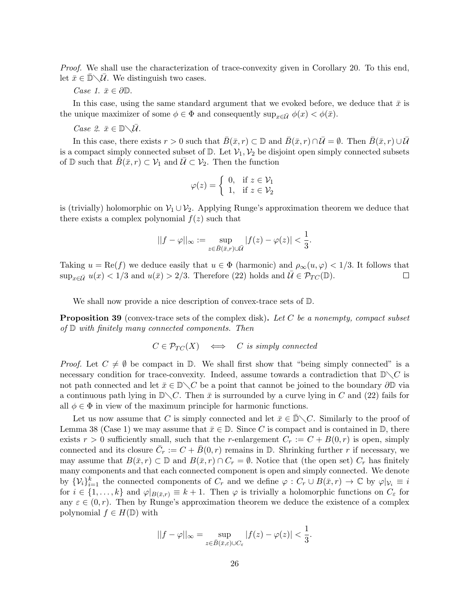Proof. We shall use the characterization of trace-convexity given in Corollary 20. To this end, let  $\bar{x} \in \mathbb{D} \setminus \mathcal{U}$ . We distinguish two cases.

*Case 1.*  $\bar{x} \in \partial \mathbb{D}$ .

In this case, using the same standard argument that we evoked before, we deduce that  $\bar{x}$  is the unique maximizer of some  $\phi \in \Phi$  and consequently  $\sup_{x \in \bar{U}} \phi(x) < \phi(\bar{x})$ .

Case 2.  $\bar{x} \in \mathbb{D} \setminus \bar{U}$ .

In this case, there exists  $r > 0$  such that  $\bar{B}(\bar{x}, r) \subset \mathbb{D}$  and  $\bar{B}(\bar{x}, r) \cap \bar{\mathcal{U}} = \emptyset$ . Then  $\bar{B}(\bar{x}, r) \cup \bar{\mathcal{U}}$ is a compact simply connected subset of  $\mathbb{D}$ . Let  $\mathcal{V}_1, \mathcal{V}_2$  be disjoint open simply connected subsets of  $\mathbb D$  such that  $\overline{B}(\overline{x}, r) \subset \mathcal V_1$  and  $\overline{\mathcal U} \subset \mathcal V_2$ . Then the function

$$
\varphi(z) = \begin{cases} 0, & \text{if } z \in \mathcal{V}_1 \\ 1, & \text{if } z \in \mathcal{V}_2 \end{cases}
$$

is (trivially) holomorphic on  $\mathcal{V}_1 \cup \mathcal{V}_2$ . Applying Runge's approximation theorem we deduce that there exists a complex polynomial  $f(z)$  such that

$$
||f-\varphi||_{\infty} := \sup_{z \in \bar{B}(\bar{x},r) \cup \bar{\mathcal{U}}} |f(z) - \varphi(z)| < \frac{1}{3}.
$$

Taking  $u = \text{Re}(f)$  we deduce easily that  $u \in \Phi$  (harmonic) and  $\rho_{\infty}(u, \varphi) < 1/3$ . It follows that  $\sup_{x \in \bar{\mathcal{U}}} u(x) < 1/3$  and  $u(\bar{x}) > 2/3$ . Therefore (22) holds and  $\bar{\mathcal{U}} \in \mathcal{P}_{TC}(\mathbb{D})$ .  $\Box$ 

We shall now provide a nice description of convex-trace sets of  $\mathbb{D}$ .

**Proposition 39** (convex-trace sets of the complex disk). Let C be a nonempty, compact subset of  $D$  with finitely many connected components. Then

$$
C \in \mathcal{P}_{TC}(X) \iff C \text{ is simply connected}
$$

*Proof.* Let  $C \neq \emptyset$  be compact in  $\mathbb{D}$ . We shall first show that "being simply connected" is a necessary condition for trace-convexity. Indeed, assume towards a contradiction that  $\mathbb{D}\setminus C$  is not path connected and let  $\bar{x} \in \mathbb{D} \setminus C$  be a point that cannot be joined to the boundary  $\partial \mathbb{D}$  via a continuous path lying in  $\mathbb{D}\setminus C$ . Then  $\bar{x}$  is surrounded by a curve lying in C and (22) fails for all  $\phi \in \Phi$  in view of the maximum principle for harmonic functions.

Let us now assume that C is simply connected and let  $\bar{x} \in \mathbb{D} \setminus C$ . Similarly to the proof of Lemma 38 (Case 1) we may assume that  $\bar{x} \in \mathbb{D}$ . Since C is compact and is contained in  $\mathbb{D}$ , there exists  $r > 0$  sufficiently small, such that the r-enlargement  $C_r := C + B(0,r)$  is open, simply connected and its closure  $\overline{C}_r := C + \overline{B}(0,r)$  remains in  $\mathbb{D}$ . Shrinking further r if necessary, we may assume that  $B(\bar{x}, r) \subset \mathbb{D}$  and  $B(\bar{x}, r) \cap C_r = \emptyset$ . Notice that (the open set)  $C_r$  has finitely many components and that each connected component is open and simply connected. We denote by  $\{\mathcal{V}_i\}_{i=1}^k$  the connected components of  $C_r$  and we define  $\varphi: C_r \cup B(\bar{x}, r) \to \mathbb{C}$  by  $\varphi|_{\mathcal{V}_i} \equiv i$ for  $i \in \{1,\ldots,k\}$  and  $\varphi|_{B(\bar{x},r)} \equiv k+1$ . Then  $\varphi$  is trivially a holomorphic functions on  $C_{\varepsilon}$  for any  $\varepsilon \in (0, r)$ . Then by Runge's approximation theorem we deduce the existence of a complex polynomial  $f \in H(\mathbb{D})$  with

$$
||f - \varphi||_{\infty} = \sup_{z \in \bar{B}(\bar{x}, \varepsilon) \cup C_{\varepsilon}} |f(z) - \varphi(z)| < \frac{1}{3}.
$$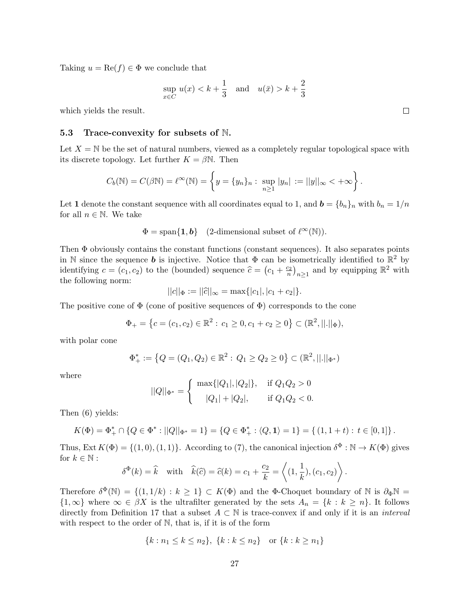Taking  $u = \text{Re}(f) \in \Phi$  we conclude that

$$
\sup_{x \in C} u(x) < k + \frac{1}{3} \quad \text{and} \quad u(\bar{x}) > k + \frac{2}{3}
$$

which yields the result.

### 5.3 Trace-convexity for subsets of N.

Let  $X = N$  be the set of natural numbers, viewed as a completely regular topological space with its discrete topology. Let further  $K = \beta \mathbb{N}$ . Then

$$
C_b(\mathbb{N}) = C(\beta \mathbb{N}) = \ell^{\infty}(\mathbb{N}) = \left\{ y = \{y_n\}_n : \sup_{n \ge 1} |y_n| := ||y||_{\infty} < +\infty \right\}.
$$

Let 1 denote the constant sequence with all coordinates equal to 1, and  $\mathbf{b} = \{b_n\}_n$  with  $b_n = 1/n$ for all  $n \in \mathbb{N}$ . We take

 $\Phi = \text{span}\{\mathbf{1}, \mathbf{b}\}$  (2-dimensional subset of  $\ell^{\infty}(\mathbb{N})$ ).

Then  $\Phi$  obviously contains the constant functions (constant sequences). It also separates points in N since the sequence **b** is injective. Notice that  $\Phi$  can be isometrically identified to  $\mathbb{R}^2$  by identifying  $c = (c_1, c_2)$  to the (bounded) sequence  $\hat{c} = (c_1 + \frac{c_2}{n})_{n \ge 1}$  and by equipping  $\mathbb{R}^2$  with the following norm:

$$
||c||_{\Phi} := ||\widehat{c}||_{\infty} = \max\{|c_1|, |c_1 + c_2|\}.
$$

The positive cone of  $\Phi$  (cone of positive sequences of  $\Phi$ ) corresponds to the cone

$$
\Phi_+ = \left\{ c = (c_1, c_2) \in \mathbb{R}^2 : c_1 \ge 0, c_1 + c_2 \ge 0 \right\} \subset (\mathbb{R}^2, ||.||_{\Phi}),
$$

with polar cone

$$
\Phi_+^* := \left\{ Q = (Q_1, Q_2) \in \mathbb{R}^2 : Q_1 \ge Q_2 \ge 0 \right\} \subset (\mathbb{R}^2, ||.||_{\Phi^*})
$$

where

$$
||Q||_{\Phi^*} = \begin{cases} \max\{|Q_1|, |Q_2|\}, & \text{if } Q_1Q_2 > 0\\ |Q_1| + |Q_2|, & \text{if } Q_1Q_2 < 0. \end{cases}
$$

Then (6) yields:

$$
K(\Phi) = \Phi_+^* \cap \{Q \in \Phi^* : ||Q||_{\Phi^*} = 1\} = \{Q \in \Phi_+^* : \langle Q, \mathbf{1} \rangle = 1\} = \{ (1, 1 + t) : t \in [0, 1] \}.
$$

Thus, Ext  $K(\Phi) = \{(1,0), (1,1)\}\.$  According to (7), the canonical injection  $\delta^{\Phi}: \mathbb{N} \to K(\Phi)$  gives for  $k \in \mathbb{N}$  :

$$
\delta^{\Phi}(k) = \hat{k} \quad \text{with} \quad \hat{k}(\hat{c}) = \hat{c}(k) = c_1 + \frac{c_2}{k} = \left\langle (1, \frac{1}{k}), (c_1, c_2) \right\rangle.
$$

Therefore  $\delta^{\Phi}(\mathbb{N}) = \{(1,1/k) : k \geq 1\} \subset K(\Phi)$  and the  $\Phi$ -Choquet boundary of  $\mathbb{N}$  is  $\partial_{\Phi}\mathbb{N} =$  ${1, \infty}$  where  $\infty \in \beta X$  is the ultrafilter generated by the sets  $A_n = \{k : k \geq n\}$ . It follows directly from Definition 17 that a subset  $A \subset \mathbb{N}$  is trace-convex if and only if it is an *interval* with respect to the order of N, that is, if it is of the form

$$
\{k : n_1 \le k \le n_2\}, \ \{k : k \le n_2\} \quad \text{or } \{k : k \ge n_1\}
$$

27

 $\Box$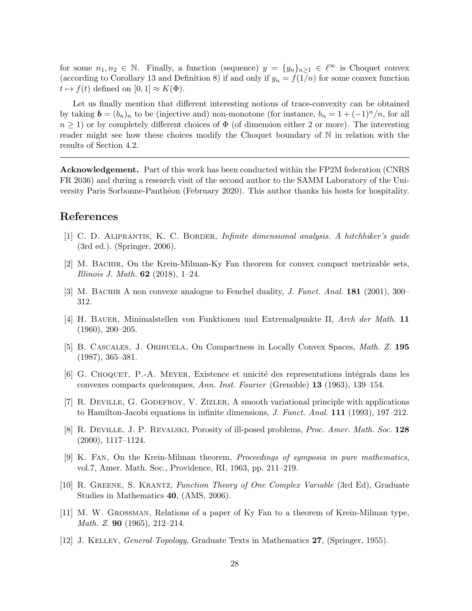for some  $n_1, n_2 \in \mathbb{N}$ . Finally, a function (sequence)  $y = \{y_n\}_{n>1} \in \ell^{\infty}$  is Choquet convex (according to Corollary 13 and Definition 8) if and only if  $y_n = f(1/n)$  for some convex function  $t \mapsto f(t)$  defined on  $[0, 1] \approx K(\Phi)$ .

Let us finally mention that different interesting notions of trace-convexity can be obtained by taking  $\mathbf{b} = (b_n)_n$  to be (injective and) non-monotone (for instance,  $b_n = 1 + (-1)^n/n$ , for all  $n \geq 1$ ) or by completely different choices of  $\Phi$  (of dimension either 2 or more). The interesting reader might see how these choices modify the Choquet boundary of N in relation with the results of Section 4.2.

Acknowledgement. Part of this work has been conducted within the FP2M federation (CNRS FR 2036) and during a research visit of the second author to the SAMM Laboratory of the University Paris Sorbonne-Panthéon (February 2020). This author thanks his hosts for hospitality.

### References

- [1] C. D. Aliprantis, K. C. Border, Infinite dimensional analysis. A hitchhiker's guide (3rd ed.). (Springer, 2006).
- [2] M. Bachir, On the Krein-Milman-Ky Fan theorem for convex compact metrizable sets, *Illinois J. Math.* **62** (2018), 1–24.
- [3] M. BACHIR A non convexe analogue to Fenchel duality, *J. Funct. Anal.* **181** (2001), 300– 312.
- [4] H. Bauer, Minimalstellen von Funktionen und Extremalpunkte II, Arch der Math. 11 (1960), 200–205.
- [5] B. Cascales, J. Orihuela, On Compactness in Locally Convex Spaces, Math. Z. 195 (1987), 365–381.
- [6] G. CHOQUET, P.-A. MEYER, Existence et unicité des representations intégrals dans les convexes compacts quelconques, Ann. Inst. Fourier (Grenoble) 13 (1963), 139–154.
- [7] R. Deville, G. Godefroy, V. Zizler, A smooth variational principle with applications to Hamilton-Jacobi equations in infinite dimensions, J. Funct. Anal.  $111$  (1993), 197–212.
- [8] R. Deville, J. P. Revalski, Porosity of ill-posed problems, Proc. Amer. Math. Soc. 128 (2000), 1117–1124.
- [9] K. Fan, On the Krein-Milman theorem, Proceedings of symposia in pure mathematics, vol.7, Amer. Math. Soc., Providence, RI, 1963, pp. 211–219.
- [10] R. Greene, S. Krantz, Function Theory of One Complex Variable (3rd Ed), Graduate Studies in Mathematics 40, (AMS, 2006).
- [11] M. W. Grossman, Relations of a paper of Ky Fan to a theorem of Krein-Milman type, Math. Z. 90 (1965), 212–214.
- [12] J. Kelley, General Topology, Graduate Texts in Mathematics 27, (Springer, 1955).